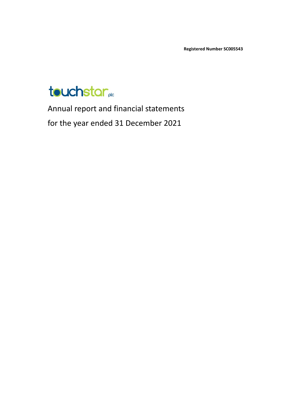**Registered Number SC005543**



Annual report and financial statements for the year ended 31 December 2021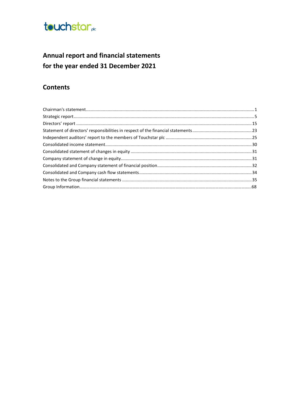

## Annual report and financial statements for the year ended 31 December 2021

### **Contents**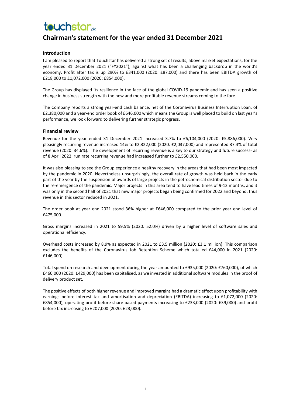## **Chairman's statement for the year ended 31 December 2021**

#### **Introduction**

I am pleased to report that Touchstar has delivered a strong set of results, above market expectations, for the year ended 31 December 2021 ("FY2021"), against what has been a challenging backdrop in the world's economy. Profit after tax is up 290% to £341,000 (2020: £87,000) and there has been EBITDA growth of £218,000 to £1,072,000 (2020: £854,000).

The Group has displayed its resilience in the face of the global COVID-19 pandemic and has seen a positive change in business strength with the new and more profitable revenue streams coming to the fore.

The Company reports a strong year-end cash balance, net of the Coronavirus Business Interruption Loan, of £2,380,000 and a year-end order book of £646,000 which means the Group is well placed to build on last year's performance, we look forward to delivering further strategic progress.

#### **Financial review**

Revenue for the year ended 31 December 2021 increased 3.7% to £6,104,000 (2020: £5,886,000). Very pleasingly recurring revenue increased 14% to £2,322,000 (2020: £2,037,000) and represented 37.4% of total revenue (2020: 34.6%). The development of recurring revenue is a key to our strategy and future success- as of 8 April 2022, run rate recurring revenue had increased further to £2,550,000.

It was also pleasing to see the Group experience a healthy recovery in the areas that had been most impacted by the pandemic in 2020. Nevertheless unsurprisingly, the overall rate of growth was held back in the early part of the year by the suspension of awards of large projects in the petrochemical distribution sector due to the re-emergence of the pandemic. Major projects in this area tend to have lead times of 9-12 months, and it was only in the second half of 2021 that new major projects began being confirmed for 2022 and beyond, thus revenue in this sector reduced in 2021.

The order book at year end 2021 stood 36% higher at £646,000 compared to the prior year end level of £475,000.

Gross margins increased in 2021 to 59.5% (2020: 52.0%) driven by a higher level of software sales and operational efficiency.

Overhead costs increased by 8.9% as expected in 2021 to £3.5 million (2020: £3.1 million). This comparison excludes the benefits of the Coronavirus Job Retention Scheme which totalled £44,000 in 2021 (2020: £146,000).

Total spend on research and development during the year amounted to £935,000 (2020: £760,000), of which £460,000 (2020: £429,000) has been capitalised, as we invested in additional software modules in the proof of delivery product set.

The positive effects of both higher revenue and improved margins had a dramatic effect upon profitability with earnings before interest tax and amortisation and depreciation (EBITDA) increasing to £1,072,000 (2020: £854,000), operating profit before share based payments increasing to £233,000 (2020: £39,000) and profit before tax increasing to £207,000 (2020: £23,000).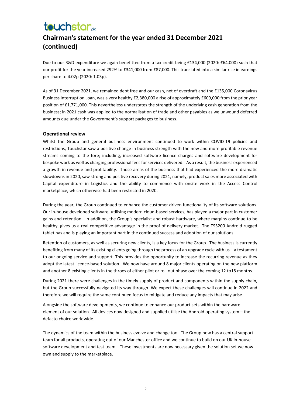## **Chairman's statement for the year ended 31 December 2021 (continued)**

Due to our R&D expenditure we again benefitted from a tax credit being £134,000 (2020: £64,000) such that our profit for the year increased 292% to £341,000 from £87,000. This translated into a similar rise in earnings per share to 4.02p (2020: 1.03p).

As of 31 December 2021, we remained debt free and our cash, net of overdraft and the £135,000 Coronavirus Business Interruption Loan, was a very healthy £2,380,000 a rise of approximately £609,000 from the prior year position of £1,771,000. This nevertheless understates the strength of the underlying cash generation from the business; in 2021 cash was applied to the normalisation of trade and other payables as we unwound deferred amounts due under the Government's support packages to business.

#### **Operational review**

Whilst the Group and general business environment continued to work within COVID-19 policies and restrictions, Touchstar saw a positive change in business strength with the new and more profitable revenue streams coming to the fore; including, increased software licence charges and software development for bespoke work as well as charging professional fees for services delivered. As a result, the business experienced a growth in revenue and profitability. Those areas of the business that had experienced the more dramatic slowdowns in 2020, saw strong and positive recovery during 2021, namely, product sales more associated with Capital expenditure in Logistics and the ability to commence with onsite work in the Access Control marketplace, which otherwise had been restricted in 2020.

During the year, the Group continued to enhance the customer driven functionality of its software solutions. Our in-house developed software, utilising modern cloud-based services, has played a major part in customer gains and retention. In addition, the Group's specialist and robust hardware, where margins continue to be healthy, gives us a real competitive advantage in the proof of delivery market. The TS3200 Android rugged tablet has and is playing an important part in the continued success and adoption of our solutions.

Retention of customers, as well as securing new clients, is a key focus for the Group. The business is currently benefiting from many of its existing clients going through the process of an upgrade cycle with us – a testament to our ongoing service and support. This provides the opportunity to increase the recurring revenue as they adopt the latest licence-based solution. We now have around 8 major clients operating on the new platform and another 8 existing clients in the throes of either pilot or roll out phase over the coming 12 to18 months.

During 2021 there were challenges in the timely supply of product and components within the supply chain, but the Group successfully navigated its way through. We expect these challenges will continue in 2022 and therefore we will require the same continued focus to mitigate and reduce any impacts that may arise.

Alongside the software developments, we continue to enhance our product sets within the hardware element of our solution. All devices now designed and supplied utilise the Android operating system – the defacto choice worldwide.

The dynamics of the team within the business evolve and change too. The Group now has a central support team for all products, operating out of our Manchester office and we continue to build on our UK in-house software development and test team. These investments are now necessary given the solution set we now own and supply to the marketplace.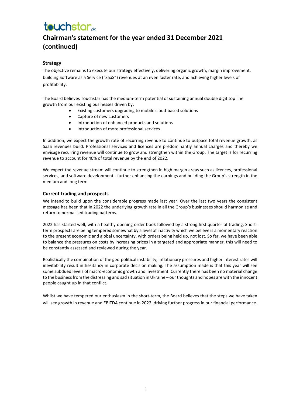## **Chairman's statement for the year ended 31 December 2021 (continued)**

#### **Strategy**

The objective remains to execute our strategy effectively; delivering organic growth, margin improvement, building Software as a Service ("SaaS") revenues at an even faster rate, and achieving higher levels of profitability.

The Board believes Touchstar has the medium-term potential of sustaining annual double digit top line growth from our existing businesses driven by:

- Existing customers upgrading to mobile cloud-based solutions
- Capture of new customers
- Introduction of enhanced products and solutions
- Introduction of more professional services

In addition, we expect the growth rate of recurring revenue to continue to outpace total revenue growth, as SaaS revenues build. Professional services and licences are predominantly annual charges and thereby we envisage recurring revenue will continue to grow and strengthen within the Group. The target is for recurring revenue to account for 40% of total revenue by the end of 2022.

We expect the revenue stream will continue to strengthen in high margin areas such as licences, professional services, and software development - further enhancing the earnings and building the Group's strength in the medium and long term

#### **Current trading and prospects**

We intend to build upon the considerable progress made last year. Over the last two years the consistent message has been that in 2022 the underlying growth rate in all the Group's businesses should harmonise and return to normalised trading patterns.

2022 has started well, with a healthy opening order book followed by a strong first quarter of trading. Shortterm prospects are being tempered somewhat by a level of inactivity which we believe is a momentary reaction to the present economic and global uncertainty, with orders being held up, not lost. So far, we have been able to balance the pressures on costs by increasing prices in a targeted and appropriate manner, this will need to be constantly assessed and reviewed during the year.

Realistically the combination of the geo-political instability, inflationary pressures and higher interest rates will inevitability result in hesitancy in corporate decision making. The assumption made is that this year will see some subdued levels of macro-economic growth and investment. Currently there has been no material change to the business from the distressing and sad situation in Ukraine – our thoughts and hopes are with the innocent people caught up in that conflict.

Whilst we have tempered our enthusiasm in the short-term, the Board believes that the steps we have taken will see growth in revenue and EBITDA continue in 2022, driving further progress in our financial performance.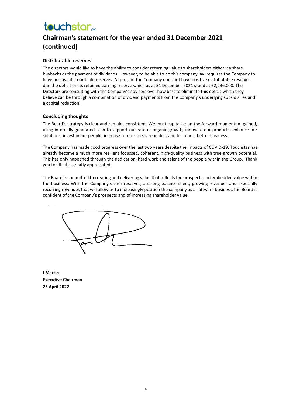## **Chairman's statement for the year ended 31 December 2021 (continued)**

#### **Distributable reserves**

The directors would like to have the ability to consider returning value to shareholders either via share buybacks or the payment of dividends. However, to be able to do this company law requires the Company to have positive distributable reserves. At present the Company does not have positive distributable reserves due the deficit on its retained earning reserve which as at 31 December 2021 stood at £2,236,000. The Directors are consulting with the Company's advisers over how best to eliminate this deficit which they believe can be through a combination of dividend payments from the Company's underlying subsidiaries and a capital reduction**.**

#### **Concluding thoughts**

The Board's strategy is clear and remains consistent. We must capitalise on the forward momentum gained, using internally generated cash to support our rate of organic growth, innovate our products, enhance our solutions, invest in our people, increase returns to shareholders and become a better business.

The Company has made good progress over the last two years despite the impacts of COVID-19. Touchstar has already become a much more resilient focussed, coherent, high-quality business with true growth potential. This has only happened through the dedication, hard work and talent of the people within the Group. Thank you to all - it is greatly appreciated.

The Board is committed to creating and delivering value that reflects the prospects and embedded value within the business. With the Company's cash reserves, a strong balance sheet, growing revenues and especially recurring revenues that will allow us to increasingly position the company as a software business, the Board is confident of the Company's prospects and of increasing shareholder value.

**I Martin Executive Chairman 25 April 2022**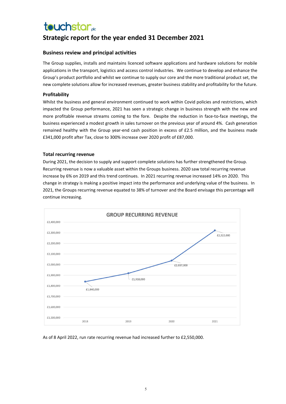## **touchstar**<sub>de</sub>

### **Strategic report for the year ended 31 December 2021**

#### **Business review and principal activities**

The Group supplies, installs and maintains licenced software applications and hardware solutions for mobile applications in the transport, logistics and access control industries. We continue to develop and enhance the Group's product portfolio and whilst we continue to supply our core and the more traditional product set, the new complete solutions allow for increased revenues, greater business stability and profitability for the future.

#### **Profitability**

Whilst the business and general environment continued to work within Covid policies and restrictions, which impacted the Group performance, 2021 has seen a strategic change in business strength with the new and more profitable revenue streams coming to the fore. Despite the reduction in face-to-face meetings, the business experienced a modest growth in sales turnover on the previous year of around 4%. Cash generation remained healthy with the Group year-end cash position in excess of £2.5 million, and the business made £341,000 profit after Tax, close to 300% increase over 2020 profit of £87,000.

#### **Total recurring revenue**

During 2021, the decision to supply and support complete solutions has further strengthened the Group. Recurring revenue is now a valuable asset within the Groups business. 2020 saw total recurring revenue increase by 6% on 2019 and this trend continues. In 2021 recurring revenue increased 14% on 2020. This change in strategy is making a positive impact into the performance and underlying value of the business. In 2021, the Groups recurring revenue equated to 38% of turnover and the Board envisage this percentage will continue increasing.



As of 8 April 2022, run rate recurring revenue had increased further to £2,550,000.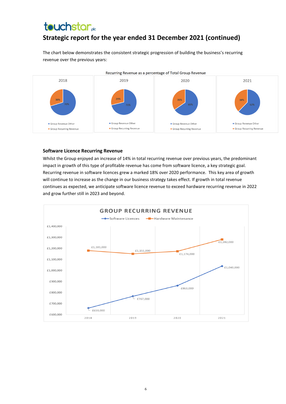## **Strategic report for the year ended 31 December 2021 (continued)**

The chart below demonstrates the consistent strategic progression of building the business's recurring revenue over the previous years:



#### **Software Licence Recurring Revenue**

Whilst the Group enjoyed an increase of 14% in total recurring revenue over previous years, the predominant impact in growth of this type of profitable revenue has come from software licence, a key strategic goal. Recurring revenue in software licences grew a marked 18% over 2020 performance. This key area of growth will continue to increase as the change in our business strategy takes effect. If growth in total revenue continues as expected, we anticipate software licence revenue to exceed hardware recurring revenue in 2022 and grow further still in 2023 and beyond.

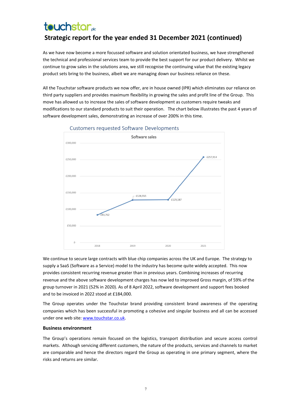## **touchstar Strategic report for the year ended 31 December 2021 (continued)**

As we have now become a more focussed software and solution orientated business, we have strengthened the technical and professional services team to provide the best support for our product delivery. Whilst we continue to grow sales in the solutions area, we still recognise the continuing value that the existing legacy product sets bring to the business, albeit we are managing down our business reliance on these.

All the Touchstar software products we now offer, are in house owned (IPR) which eliminates our reliance on third party suppliers and provides maximum flexibility in growing the sales and profit line of the Group. This move has allowed us to increase the sales of software development as customers require tweaks and modifications to our standard products to suit their operation. The chart below illustrates the past 4 years of software development sales, demonstrating an increase of over 200% in this time.



#### **Customers requested Software Developments**

We continue to secure large contracts with blue chip companies across the UK and Europe. The strategy to supply a SaaS (Software as a Service) model to the industry has become quite widely accepted. This now provides consistent recurring revenue greater than in previous years. Combining increases of recurring revenue and the above software development charges has now led to improved Gross margin, of 59% of the group turnover in 2021 (52% in 2020). As of 8 April 2022, software development and support fees booked and to be invoiced in 2022 stood at £184,000.

The Group operates under the Touchstar brand providing consistent brand awareness of the operating companies which has been successful in promoting a cohesive and singular business and all can be accessed under one web site[: www.touchstar.co.uk.](http://www.touchstar.co.uk/)

#### **Business environment**

The Group's operations remain focused on the logistics, transport distribution and secure access control markets. Although servicing different customers, the nature of the products, services and channels to market are comparable and hence the directors regard the Group as operating in one primary segment, where the risks and returns are similar.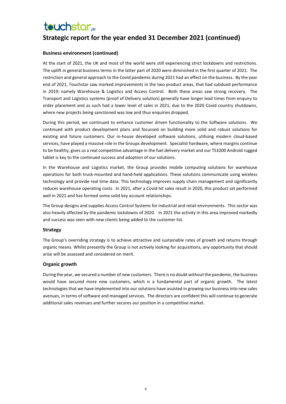## **Strategic report for the year ended 31 December 2021 (continued)**

#### **Business environment (continued)**

At the start of 2021, the UK and most of the world were still experiencing strict lockdowns and restrictions. The uplift in general business terms in the latter part of 2020 were diminished in the first quarter of 2021. The restriction and general approach to the Covid pandemic during 2021 had an effect on the business. By the year end of 2021, Touchstar saw marked improvements in the two product areas, that had subdued performance in 2019; namely Warehouse & Logistics and Access Control. Both these areas saw strong recovery. The Transport and Logistics systems (proof of Delivery solution) generally have longer lead times from enquiry to order placement and as such had a lower level of sales in 2021, due to the 2020 Covid country shutdowns, where new projects being sanctioned was low and thus enquiries dropped.

During this period, we continued to enhance customer driven functionality to the Software solutions. We continued with product development plans and focussed on building more solid and robust solutions for existing and future customers. Our in-house developed software solutions, utilising modern cloud-based services, have played a massive role in the Groups development. Specialist hardware, where margins continue to be healthy, gives us a real competitive advantage in the fuel delivery market and our TS3200 Android rugged tablet is key to the continued success and adoption of our solutions.

In the Warehouse and Logistics market, the Group provides mobile computing solutions for warehouse operations for both truck-mounted and hand-held applications. These solutions communicate using wireless technology and provide real time data. This technology improves supply chain management and significantly reduces warehouse operating costs. In 2021, after a Covid hit sales result in 2020, this product set performed well in 2021 and has formed some solid key account relationships.

The Group designs and supplies Access Control Systems for industrial and retail environments. This sector was also heavily affected by the pandemic lockdowns of 2020. In 2021 the activity in this area improved markedly and success was seen with new clients being added to the customer list.

#### **Strategy**

The Group's overriding strategy is to achieve attractive and sustainable rates of growth and returns through organic means. Whilst presently the Group is not actively looking for acquisitions, any opportunity that should arise will be assessed and considered on merit.

#### **Organic growth**

During the year, we secured a number of new customers. There is no doubt without the pandemic, the business would have secured more new customers, which is a fundamental part of organic growth. The latest technologies that we have implemented into our solutions have assisted in growing our business into new sales avenues, in terms of software and managed services. The directors are confident this will continue to generate additional sales revenues and further secures our position in a competitive market.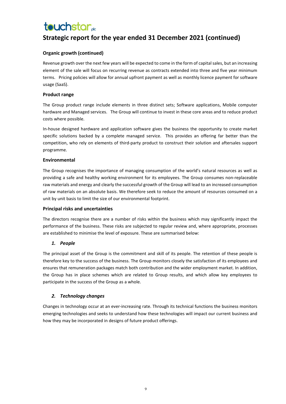## **Strategic report for the year ended 31 December 2021 (continued)**

#### **Organic growth (continued)**

Revenue growth over the next few years will be expected to come in the form of capital sales, but an increasing element of the sale will focus on recurring revenue as contracts extended into three and five year minimum terms. Pricing policies will allow for annual upfront payment as well as monthly licence payment for software usage (SaaS).

#### **Product range**

The Group product range include elements in three distinct sets; Software applications, Mobile computer hardware and Managed services. The Group will continue to invest in these core areas and to reduce product costs where possible.

In-house designed hardware and application software gives the business the opportunity to create market specific solutions backed by a complete managed service. This provides an offering far better than the competition, who rely on elements of third-party product to construct their solution and aftersales support programme.

#### **Environmental**

The Group recognises the importance of managing consumption of the world's natural resources as well as providing a safe and healthy working environment for its employees. The Group consumes non-replaceable raw materials and energy and clearly the successful growth of the Group will lead to an increased consumption of raw materials on an absolute basis. We therefore seek to reduce the amount of resources consumed on a unit by unit basis to limit the size of our environmental footprint.

#### **Principal risks and uncertainties**

The directors recognise there are a number of risks within the business which may significantly impact the performance of the business. These risks are subjected to regular review and, where appropriate, processes are established to minimise the level of exposure. These are summarised below:

#### *1. People*

The principal asset of the Group is the commitment and skill of its people. The retention of these people is therefore key to the success of the business. The Group monitors closely the satisfaction of its employees and ensures that remuneration packages match both contribution and the wider employment market. In addition, the Group has in place schemes which are related to Group results, and which allow key employees to participate in the success of the Group as a whole.

#### *2. Technology changes*

Changes in technology occur at an ever-increasing rate. Through its technical functions the business monitors emerging technologies and seeks to understand how these technologies will impact our current business and how they may be incorporated in designs of future product offerings.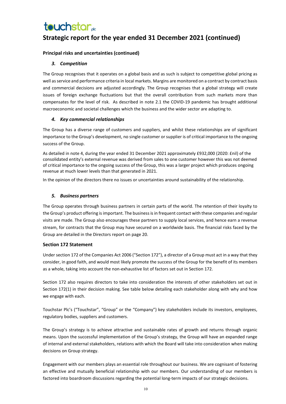## **Strategic report for the year ended 31 December 2021 (continued)**

#### **Principal risks and uncertainties (continued)**

#### *3. Competition*

The Group recognises that it operates on a global basis and as such is subject to competitive global pricing as well as service and performance criteria in local markets. Margins are monitored on a contract by contract basis and commercial decisions are adjusted accordingly. The Group recognises that a global strategy will create issues of foreign exchange fluctuations but that the overall contribution from such markets more than compensates for the level of risk. As described in note 2.1 the COVID-19 pandemic has brought additional macroeconomic and societal challenges which the business and the wider sector are adapting to.

#### *4. Key commercial relationships*

The Group has a diverse range of customers and suppliers, and whilst these relationships are of significant importance to the Group's development, no single customer or supplier is of critical importance to the ongoing success of the Group.

As detailed in note 4, during the year ended 31 December 2021 approximately £932,000 (2020: £nil) of the consolidated entity's external revenue was derived from sales to one customer however this was not deemed of critical importance to the ongoing success of the Group, this was a larger project which produces ongoing revenue at much lower levels than that generated in 2021.

In the opinion of the directors there no issues or uncertainties around sustainability of the relationship.

#### *5. Business partners*

The Group operates through business partners in certain parts of the world. The retention of their loyalty to the Group's product offering is important. The business is in frequent contact with these companies and regular visits are made. The Group also encourages these partners to supply local services, and hence earn a revenue stream, for contracts that the Group may have secured on a worldwide basis. The financial risks faced by the Group are detailed in the Directors report on page 20.

#### **Section 172 Statement**

Under section 172 of the Companies Act 2006 ("Section 172"), a director of a Group must act in a way that they consider, in good faith, and would most likely promote the success of the Group for the benefit of its members as a whole, taking into account the non-exhaustive list of factors set out in Section 172.

Section 172 also requires directors to take into consideration the interests of other stakeholders set out in Section 172(1) in their decision making. See table below detailing each stakeholder along with why and how we engage with each.

Touchstar Plc's ("Touchstar", "Group" or the "Company") key stakeholders include its investors, employees, regulatory bodies, suppliers and customers.

The Group's strategy is to achieve attractive and sustainable rates of growth and returns through organic means. Upon the successful implementation of the Group's strategy, the Group will have an expanded range of internal and external stakeholders, relations with which the Board will take into consideration when making decisions on Group strategy.

Engagement with our members plays an essential role throughout our business. We are cognisant of fostering an effective and mutually beneficial relationship with our members. Our understanding of our members is factored into boardroom discussions regarding the potential long-term impacts of our strategic decisions.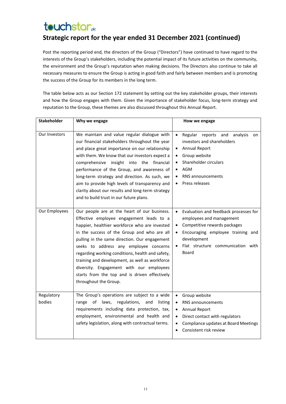## **Strategic report for the year ended 31 December 2021 (continued)**

Post the reporting period end, the directors of the Group ("Directors") have continued to have regard to the interests of the Group's stakeholders, including the potential impact of its future activities on the community, the environment and the Group's reputation when making decisions. The Directors also continue to take all necessary measures to ensure the Group is acting in good faith and fairly between members and is promoting the success of the Group for its members in the long term.

The table below acts as our Section 172 statement by setting out the key stakeholder groups, their interests and how the Group engages with them. Given the importance of stakeholder focus, long-term strategy and reputation to the Group, these themes are also discussed throughout this Annual Report.

| Stakeholder          | Why we engage                                                                                                                                                                                                                                                                                                                                                                                                                                                                                                   | How we engage                                                                                                                                                                                                                                                            |
|----------------------|-----------------------------------------------------------------------------------------------------------------------------------------------------------------------------------------------------------------------------------------------------------------------------------------------------------------------------------------------------------------------------------------------------------------------------------------------------------------------------------------------------------------|--------------------------------------------------------------------------------------------------------------------------------------------------------------------------------------------------------------------------------------------------------------------------|
| Our Investors        | We maintain and value regular dialogue with<br>our financial stakeholders throughout the year<br>and place great importance on our relationship<br>with them. We know that our investors expect a<br>comprehensive insight into the financial<br>performance of the Group, and awareness of<br>long-term strategy and direction. As such, we<br>aim to provide high levels of transparency and<br>clarity about our results and long-term strategy<br>and to build trust in our future plans.                   | Regular reports and<br>analysis<br>$\bullet$<br>on<br>investors and shareholders<br><b>Annual Report</b><br>$\bullet$<br>Group website<br>$\bullet$<br>Shareholder circulars<br>$\bullet$<br>AGM<br>$\bullet$<br><b>RNS</b> announcements<br>Press releases<br>$\bullet$ |
| Our Employees        | Our people are at the heart of our business.<br>Effective employee engagement leads to a<br>happier, healthier workforce who are invested<br>in the success of the Group and who are all<br>pulling in the same direction. Our engagement<br>seeks to address any employee concerns<br>regarding working conditions, health and safety,<br>training and development, as well as workforce<br>diversity. Engagement with our employees<br>starts from the top and is driven effectively<br>throughout the Group. | Evaluation and feedback processes for<br>$\bullet$<br>employees and management<br>Competitive rewards packages<br>$\bullet$<br>Encouraging employee training and<br>$\bullet$<br>development<br>Flat structure communication with<br>$\bullet$<br>Board                  |
| Regulatory<br>bodies | The Group's operations are subject to a wide<br>of<br>laws,<br>regulations,<br>range<br>and<br>listing<br>requirements including data protection, tax,<br>employment, environmental and health and<br>safety legislation, along with contractual terms.                                                                                                                                                                                                                                                         | Group website<br>$\bullet$<br><b>RNS</b> announcements<br>$\bullet$<br>Annual Report<br>$\bullet$<br>Direct contact with regulators<br>$\bullet$<br>Compliance updates at Board Meetings<br>$\bullet$<br>Consistent risk review                                          |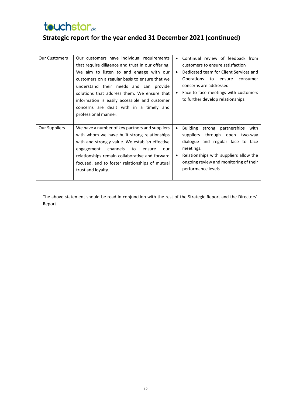**Strategic report for the year ended 31 December 2021 (continued)**

| <b>Our Customers</b> | Our customers have individual requirements<br>that require diligence and trust in our offering.<br>We aim to listen to and engage with our<br>customers on a regular basis to ensure that we<br>understand their needs and can provide<br>solutions that address them. We ensure that<br>information is easily accessible and customer<br>concerns are dealt with in a timely and<br>professional manner. | ٠ | Continual review of feedback from<br>customers to ensure satisfaction<br>Dedicated team for Client Services and<br>Operations<br>to ensure<br>consumer<br>concerns are addressed<br>Face to face meetings with customers<br>to further develop relationships. |
|----------------------|-----------------------------------------------------------------------------------------------------------------------------------------------------------------------------------------------------------------------------------------------------------------------------------------------------------------------------------------------------------------------------------------------------------|---|---------------------------------------------------------------------------------------------------------------------------------------------------------------------------------------------------------------------------------------------------------------|
| Our Suppliers        | We have a number of key partners and suppliers<br>with whom we have built strong relationships<br>with and strongly value. We establish effective<br>channels<br>to<br>engagement<br>ensure<br>our<br>relationships remain collaborative and forward<br>focused, and to foster relationships of mutual<br>trust and loyalty.                                                                              |   | Building<br>strong partnerships<br>with<br>through open<br>suppliers<br>two-way<br>dialogue and regular face to face<br>meetings.<br>Relationships with suppliers allow the<br>ongoing review and monitoring of their<br>performance levels                   |

The above statement should be read in conjunction with the rest of the Strategic Report and the Directors' Report.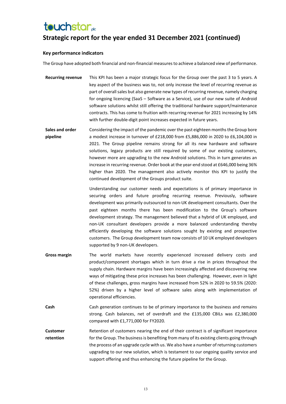## **touchstar**<sub>de</sub>

## **Strategic report for the year ended 31 December 2021 (continued)**

#### **Key performance indicators**

The Group have adopted both financial and non-financial measures to achieve a balanced view of performance.

- **Recurring revenue** This KPI has been a major strategic focus for the Group over the past 3 to 5 years. A key aspect of the business was to, not only increase the level of recurring revenue as part of overall sales but also generate new types of recurring revenue, namely charging for ongoing licencing (SaaS – Software as a Service), use of our new suite of Android software solutions whilst still offering the traditional hardware support/maintenance contracts. This has come to fruition with recurring revenue for 2021 increasing by 14% with further double-digit point increases expected in future years.
- **Sales and order pipeline** Considering the impact of the pandemic over the past eighteen months the Group bore a modest increase in turnover of £218,000 from £5,886,000 in 2020 to £6,104,000 in 2021. The Group pipeline remains strong for all its new hardware and software solutions, legacy products are still required by some of our existing customers, however more are upgrading to the new Android solutions. This in turn generates an increase in recurring revenue. Order book at the year-end stood at £646,000 being 36% higher than 2020. The management also actively monitor this KPI to justify the continued development of the Groups product suite.

Understanding our customer needs and expectations is of primary importance in securing orders and future proofing recurring revenue. Previously, software development was primarily outsourced to non-UK development consultants. Over the past eighteen months there has been modification to the Group's software development strategy. The management believed that a hybrid of UK employed, and non-UK consultant developers provide a more balanced understanding thereby efficiently developing the software solutions sought by existing and prospective customers. The Group development team now consists of 10 UK employed developers supported by 9 non-UK developers.

- **Gross margin** The world markets have recently experienced increased delivery costs and product/component shortages which in turn drive a rise in prices throughout the supply chain. Hardware margins have been increasingly affected and discovering new ways of mitigating these price increases has been challenging. However, even in light of these challenges, gross margins have increased from 52% in 2020 to 59.5% (2020: 52%) driven by a higher level of software sales along with implementation of operational efficiencies.
- **Cash** Cash generation continues to be of primary importance to the business and remains strong. Cash balances, net of overdraft and the £135,000 CBILs was £2,380,000 compared with £1,771,000 for FY2020.
- **Customer retention** Retention of customers nearing the end of their contract is of significant importance for the Group. The business is benefiting from many of its existing clients going through the process of an upgrade cycle with us. We also have a number of returning customers upgrading to our new solution, which is testament to our ongoing quality service and support offering and thus enhancing the future pipeline for the Group.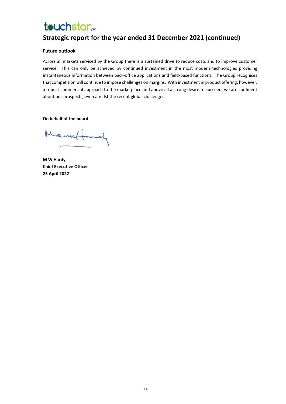## **Strategic report for the year ended 31 December 2021 (continued)**

#### **Future outlook**

Across all markets serviced by the Group there is a sustained drive to reduce costs and to improve customer service. This can only be achieved by continued investment in the most modern technologies providing instantaneous information between back-office applications and field-based functions. The Group recognises that competition will continue to impose challenges on margins. With investment in product offering, however, a robust commercial approach to the marketplace and above all a strong desire to succeed, we are confident about our prospects, even amidst the recent global challenges.

**On behalf of the board**

Manuel mely

**M W Hardy Chief Executive Officer 25 April 2022**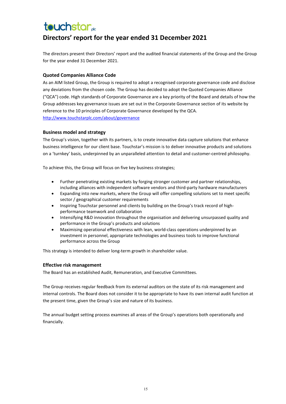### **Directors' report for the year ended 31 December 2021**

The directors present their Directors' report and the audited financial statements of the Group and the Group for the year ended 31 December 2021.

#### **Quoted Companies Alliance Code**

As an AIM listed Group, the Group is required to adopt a recognised corporate governance code and disclose any deviations from the chosen code. The Group has decided to adopt the Quoted Companies Alliance ("QCA") code. High standards of Corporate Governance are a key priority of the Board and details of how the Group addresses key governance issues are set out in the Corporate Governance section of its website by reference to the 10 principles of Corporate Governance developed by the QCA. <http://www.touchstarplc.com/about/governance>

#### **Business model and strategy**

The Group's vision, together with its partners, is to create innovative data capture solutions that enhance business intelligence for our client base. Touchstar's mission is to deliver innovative products and solutions on a 'turnkey' basis, underpinned by an unparalleled attention to detail and customer-centred philosophy.

To achieve this, the Group will focus on five key business strategies;

- Further penetrating existing markets by forging stronger customer and partner relationships, including alliances with independent software vendors and third-party hardware manufacturers
- Expanding into new markets, where the Group will offer compelling solutions set to meet specific sector / geographical customer requirements
- Inspiring Touchstar personnel and clients by building on the Group's track record of highperformance teamwork and collaboration
- Intensifying R&D innovation throughout the organisation and delivering unsurpassed quality and performance in the Group's products and solutions
- Maximising operational effectiveness with lean, world-class operations underpinned by an investment in personnel, appropriate technologies and business tools to improve functional performance across the Group

This strategy is intended to deliver long-term growth in shareholder value.

#### **Effective risk management**

The Board has an established Audit, Remuneration, and Executive Committees.

The Group receives regular feedback from its external auditors on the state of its risk management and internal controls. The Board does not consider it to be appropriate to have its own internal audit function at the present time, given the Group's size and nature of its business.

The annual budget setting process examines all areas of the Group's operations both operationally and financially.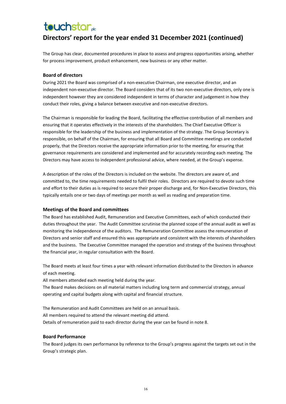## **Directors' report for the year ended 31 December 2021 (continued)**

The Group has clear, documented procedures in place to assess and progress opportunities arising, whether for process improvement, product enhancement, new business or any other matter.

#### **Board of directors**

During 2021 the Board was comprised of a non-executive Chairman, one executive director, and an independent non-executive director. The Board considers that of its two non-executive directors, only one is independent however they are considered independent in terms of character and judgement in how they conduct their roles, giving a balance between executive and non-executive directors.

The Chairman is responsible for leading the Board, facilitating the effective contribution of all members and ensuring that it operates effectively in the interests of the shareholders. The Chief Executive Officer is responsible for the leadership of the business and implementation of the strategy. The Group Secretary is responsible, on behalf of the Chairman, for ensuring that all Board and Committee meetings are conducted properly, that the Directors receive the appropriate information prior to the meeting, for ensuring that governance requirements are considered and implemented and for accurately recording each meeting. The Directors may have access to independent professional advice, where needed, at the Group's expense.

A description of the roles of the Directors is included on the website. The directors are aware of, and committed to, the time requirements needed to fulfil their roles. Directors are required to devote such time and effort to their duties as is required to secure their proper discharge and, for Non-Executive Directors, this typically entails one or two days of meetings per month as well as reading and preparation time.

#### **Meetings of the Board and committees**

The Board has established Audit, Remuneration and Executive Committees, each of which conducted their duties throughout the year. The Audit Committee scrutinise the planned scope of the annual audit as well as monitoring the independence of the auditors. The Remuneration Committee assess the remuneration of Directors and senior staff and ensured this was appropriate and consistent with the interests of shareholders and the business. The Executive Committee managed the operation and strategy of the business throughout the financial year, in regular consultation with the Board.

The Board meets at least four times a year with relevant information distributed to the Directors in advance of each meeting.

All members attended each meeting held during the year.

The Board makes decisions on all material matters including long term and commercial strategy, annual operating and capital budgets along with capital and financial structure.

The Remuneration and Audit Committees are held on an annual basis. All members required to attend the relevant meeting did attend. Details of remuneration paid to each director during the year can be found in note 8.

#### **Board Performance**

The Board judges its own performance by reference to the Group's progress against the targets set out in the Group's strategic plan.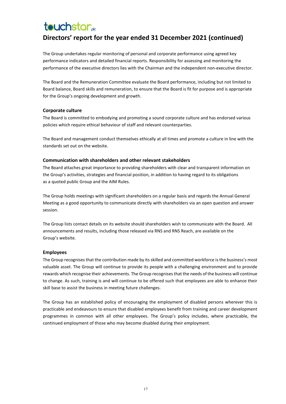## **Directors' report for the year ended 31 December 2021 (continued)**

The Group undertakes regular monitoring of personal and corporate performance using agreed key performance indicators and detailed financial reports. Responsibility for assessing and monitoring the performance of the executive directors lies with the Chairman and the independent non-executive director.

The Board and the Remuneration Committee evaluate the Board performance, including but not limited to Board balance, Board skills and remuneration, to ensure that the Board is fit for purpose and is appropriate for the Group's ongoing development and growth.

#### **Corporate culture**

The Board is committed to embodying and promoting a sound corporate culture and has endorsed various policies which require ethical behaviour of staff and relevant counterparties.

The Board and management conduct themselves ethically at all times and promote a culture in line with the standards set out on the website.

#### **Communication with shareholders and other relevant stakeholders**

The Board attaches great importance to providing shareholders with clear and transparent information on the Group's activities, strategies and financial position, in addition to having regard to its obligations as a quoted public Group and the AIM Rules.

The Group holds meetings with significant shareholders on a regular basis and regards the Annual General Meeting as a good opportunity to communicate directly with shareholders via an open question and answer session.

The Group lists contact details on its website should shareholders wish to communicate with the Board. All announcements and results, including those released via RNS and RNS Reach, are available on the Group's website.

#### **Employees**

The Group recognises that the contribution made by its skilled and committed workforce is the business's most valuable asset. The Group will continue to provide its people with a challenging environment and to provide rewards which recognise their achievements. The Group recognises that the needs of the business will continue to change. As such, training is and will continue to be offered such that employees are able to enhance their skill base to assist the business in meeting future challenges.

The Group has an established policy of encouraging the employment of disabled persons wherever this is practicable and endeavours to ensure that disabled employees benefit from training and career development programmes in common with all other employees. The Group's policy includes, where practicable, the continued employment of those who may become disabled during their employment.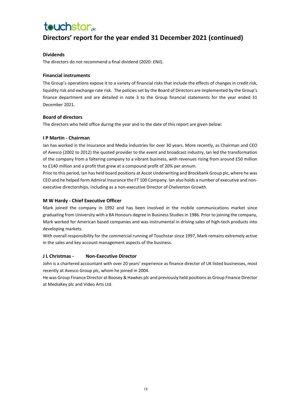## **Directors' report for the year ended 31 December 2021 (continued)**

#### **Dividends**

The directors do not recommend a final dividend (2020: £Nil).

#### **Financial instruments**

The Group's operations expose it to a variety of financial risks that include the effects of changes in credit risk, liquidity risk and exchange rate risk. The policies set by the Board of Directors are implemented by the Group's finance department and are detailed in note 3 to the Group financial statements for the year ended 31 December 2021.

#### **Board of directors**

The directors who held office during the year and to the date of this report are given below:

#### **I P Martin - Chairman**

Ian has worked in the Insurance and Media industries for over 30 years. More recently, as Chairman and CEO of Avesco (2002 to 2012) the quoted provider to the event and broadcast industry, Ian led the transformation of the company from a faltering company to a vibrant business, with revenues rising from around £50 million to £140 million and a profit that grew at a compound profit of 20% per annum.

Prior to this period, Ian has held board positions at Ascot Underwriting and Brockbank Group plc, where he was CEO and he helped form Admiral Insurance the FT 100 Company. Ian also holds a number of executive and nonexecutive directorships, including as a non-executive Director of Chelverton Growth.

#### **M W Hardy - Chief Executive Officer**

Mark joined the company in 1992 and has been involved in the mobile communications market since graduating from University with a BA Honours degree in Business Studies in 1986. Prior to joining the company, Mark worked for American based companies and was instrumental in driving sales of high-tech products into developing markets.

With overall responsibility for the commercial running of Touchstar since 1997, Mark remains extremely active in the sales and key account management aspects of the business.

#### **J L Christmas - Non-Executive Director**

John is a chartered accountant with over 20 years' experience as finance director of UK listed businesses, most recently at Avesco Group plc, whom he joined in 2004.

He was Group Finance Director at Boosey & Hawkes plc and previously held positions as Group Finance Director at MediaKey plc and Video Arts Ltd.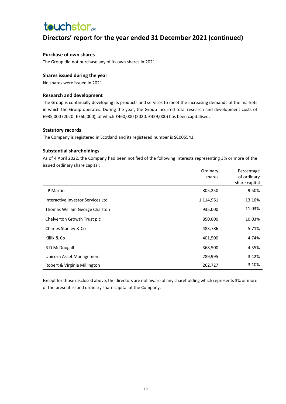## **touchstar**<sub>de</sub>

## **Directors' report for the year ended 31 December 2021 (continued)**

#### **Purchase of own shares**

The Group did not purchase any of its own shares in 2021.

#### **Shares issued during the year**

No shares were issued in 2021.

#### **Research and development**

The Group is continually developing its products and services to meet the increasing demands of the markets in which the Group operates. During the year, the Group incurred total research and development costs of £935,000 (2020: £760,000), of which £460,000 (2020: £429,000) has been capitalised.

#### **Statutory records**

The Company is registered in Scotland and its registered number is SC005543.

#### **Substantial shareholdings**

As of 4 April 2022, the Company had been notified of the following interests representing 3% or more of the issued ordinary share capital:

|                                   | Ordinary  | Percentage    |
|-----------------------------------|-----------|---------------|
|                                   | shares    | of ordinary   |
|                                   |           | share capital |
| I P Martin                        | 805,250   | 9.50%         |
| Interactive Investor Services Ltd | 1,114,961 | 13.16%        |
| Thomas William George Charlton    | 935,000   | 11.03%        |
| Chelverton Growth Trust plc       | 850,000   | 10.03%        |
| Charles Stanley & Co              | 483,786   | 5.71%         |
| Killik & Co                       | 401,500   | 4.74%         |
| R D McDougall                     | 368,500   | 4.35%         |
| Unicorn Asset Management          | 289,995   | 3.42%         |
| Robert & Virginia Millington      | 262,727   | 3.10%         |

Except for those disclosed above, the directors are not aware of any shareholding which represents 3% or more of the present issued ordinary share capital of the Company.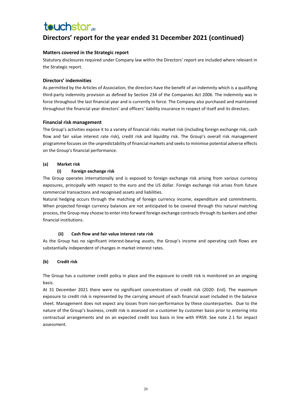## **Directors' report for the year ended 31 December 2021 (continued)**

#### **Matters covered in the Strategic report**

Statutory disclosures required under Company law within the Directors' report are included where relevant in the Strategic report.

#### **Directors' indemnities**

As permitted by the Articles of Association, the directors have the benefit of an indemnity which is a qualifying third-party indemnity provision as defined by Section 234 of the Companies Act 2006. The indemnity was in force throughout the last financial year and is currently in force. The Company also purchased and maintained throughout the financial year directors' and officers' liability insurance in respect of itself and its directors.

#### **Financial risk management**

The Group's activities expose it to a variety of financial risks: market risk (including foreign exchange risk, cash flow and fair value interest rate risk), credit risk and liquidity risk. The Group's overall risk management programme focuses on the unpredictability of financial markets and seeks to minimise potential adverse effects on the Group's financial performance.

#### **(a) Market risk**

#### **(i) Foreign exchange risk**

The Group operates internationally and is exposed to foreign exchange risk arising from various currency exposures, principally with respect to the euro and the US dollar. Foreign exchange risk arises from future commercial transactions and recognised assets and liabilities.

Natural hedging occurs through the matching of foreign currency income, expenditure and commitments. When projected foreign currency balances are not anticipated to be covered through this natural matching process, the Group may choose to enter into forward foreign exchange contracts through its bankers and other financial institutions.

#### **(ii) Cash flow and fair value interest rate risk**

As the Group has no significant interest-bearing assets, the Group's income and operating cash flows are substantially independent of changes in market interest rates.

#### **(b) Credit risk**

The Group has a customer credit policy in place and the exposure to credit risk is monitored on an ongoing basis.

At 31 December 2021 there were no significant concentrations of credit risk (2020: £nil). The maximum exposure to credit risk is represented by the carrying amount of each financial asset included in the balance sheet. Management does not expect any losses from non-performance by these counterparties. Due to the nature of the Group's business, credit risk is assessed on a customer by customer basis prior to entering into contractual arrangements and on an expected credit loss basis in line with IFRS9. See note 2.1 for impact assessment.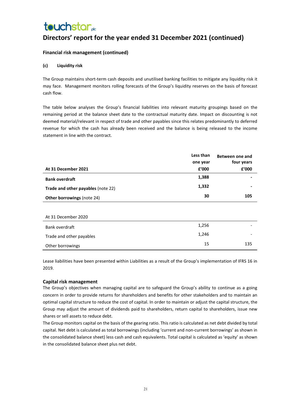## **touchstar**<sub>de</sub>

## **Directors' report for the year ended 31 December 2021 (continued)**

#### **Financial risk management (continued)**

#### **(c) Liquidity risk**

The Group maintains short-term cash deposits and unutilised banking facilities to mitigate any liquidity risk it may face. Management monitors rolling forecasts of the Group's liquidity reserves on the basis of forecast cash flow.

The table below analyses the Group's financial liabilities into relevant maturity groupings based on the remaining period at the balance sheet date to the contractual maturity date. Impact on discounting is not deemed material/relevant in respect of trade and other payables since this relates predominantly to deferred revenue for which the cash has already been received and the balance is being released to the income statement in line with the contract.

|                                    | Less than | Between one and |
|------------------------------------|-----------|-----------------|
|                                    | one year  | four years      |
| At 31 December 2021                | £'000     | £'000           |
| <b>Bank overdraft</b>              | 1,388     |                 |
| Trade and other payables (note 22) | 1,332     |                 |
| <b>Other borrowings (note 24)</b>  | 30        | 105             |
|                                    |           |                 |
| At 31 December 2020                |           |                 |
| Bank overdraft                     | 1,256     |                 |
| Trade and other payables           | 1,246     |                 |
| Other borrowings                   | 15        | 135             |

Lease liabilities have been presented within Liabilities as a result of the Group's implementation of IFRS 16 in 2019.

#### **Capital risk management**

The Group's objectives when managing capital are to safeguard the Group's ability to continue as a going concern in order to provide returns for shareholders and benefits for other stakeholders and to maintain an optimal capital structure to reduce the cost of capital. In order to maintain or adjust the capital structure, the Group may adjust the amount of dividends paid to shareholders, return capital to shareholders, issue new shares or sell assets to reduce debt.

The Group monitors capital on the basis of the gearing ratio. This ratio is calculated as net debt divided by total capital. Net debt is calculated as total borrowings (including 'current and non-current borrowings' as shown in the consolidated balance sheet) less cash and cash equivalents. Total capital is calculated as 'equity' as shown in the consolidated balance sheet plus net debt.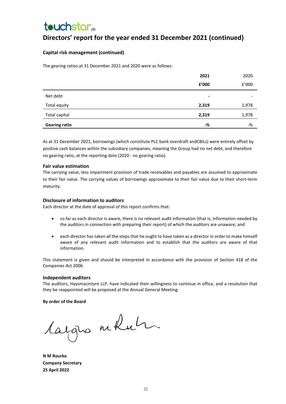## **Directors' report for the year ended 31 December 2021 (continued)**

#### **Capital risk management (continued)**

The gearing ratios at 31 December 2021 and 2020 were as follows:

|                      | 2021           | 2020  |
|----------------------|----------------|-------|
|                      | £'000          | £'000 |
| Net debt             | $\blacksquare$ | -     |
| Total equity         | 2,319          | 1,978 |
| Total capital        | 2,319          | 1,978 |
| <b>Gearing ratio</b> | -%             | $-$ % |

As at 31 December 2021, borrowings (which constitute PLC bank overdraft andCBILs) were entirely offset by positive cash balances within the subsidiary companies, meaning the Group had no net debt, and therefore no gearing ratio, at the reporting date (2020 - no gearing ratio).

#### **Fair value estimation**

The carrying value, less impairment provision of trade receivables and payables are assumed to approximate to their fair value. The carrying values of borrowings approximate to their fair value due to their short-term maturity.

#### **Disclosure of information to auditors**

Each director at the date of approval of this report confirms that:

- so far as each director is aware, there is no relevant audit information (that is, information needed by the auditors in connection with preparing their report) of which the auditors are unaware; and
- each director has taken all the steps that he ought to have taken as a director in order to make himself aware of any relevant audit information and to establish that the auditors are aware of that information.

This statement is given and should be interpreted in accordance with the provision of Section 418 of the Companies Act 2006.

#### **Independent auditors**

The auditors, Haysmacintyre LLP, have indicated their willingness to continue in office, and a resolution that they be reappointed will be proposed at the Annual General Meeting.

#### **By order of the Board**

Cargno miluti

**N M Rourke Company Secretary 25 April 2022**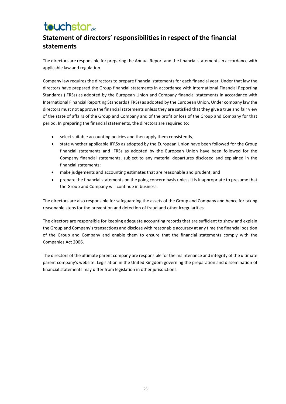# **touchstar**<sub>de</sub>

## **Statement of directors' responsibilities in respect of the financial statements**

The directors are responsible for preparing the Annual Report and the financial statements in accordance with applicable law and regulation.

Company law requires the directors to prepare financial statements for each financial year. Under that law the directors have prepared the Group financial statements in accordance with International Financial Reporting Standards (IFRSs) as adopted by the European Union and Company financial statements in accordance with International Financial Reporting Standards (IFRSs) as adopted by the European Union. Under company law the directors must not approve the financial statements unless they are satisfied that they give a true and fair view of the state of affairs of the Group and Company and of the profit or loss of the Group and Company for that period. In preparing the financial statements, the directors are required to:

- select suitable accounting policies and then apply them consistently;
- state whether applicable IFRSs as adopted by the European Union have been followed for the Group financial statements and IFRSs as adopted by the European Union have been followed for the Company financial statements, subject to any material departures disclosed and explained in the financial statements;
- make judgements and accounting estimates that are reasonable and prudent; and
- prepare the financial statements on the going concern basis unless it is inappropriate to presume that the Group and Company will continue in business.

The directors are also responsible for safeguarding the assets of the Group and Company and hence for taking reasonable steps for the prevention and detection of fraud and other irregularities.

The directors are responsible for keeping adequate accounting records that are sufficient to show and explain the Group and Company's transactions and disclose with reasonable accuracy at any time the financial position of the Group and Company and enable them to ensure that the financial statements comply with the Companies Act 2006.

The directors of the ultimate parent company are responsible for the maintenance and integrity of the ultimate parent company's website. Legislation in the United Kingdom governing the preparation and dissemination of financial statements may differ from legislation in other jurisdictions.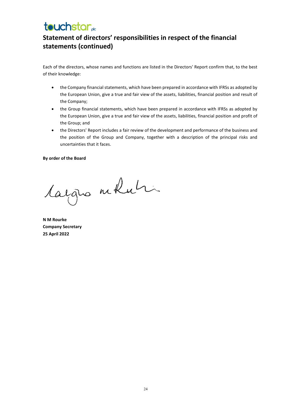## **touchstar**<sub>de</sub>

## **Statement of directors' responsibilities in respect of the financial statements (continued)**

Each of the directors, whose names and functions are listed in the Directors' Report confirm that, to the best of their knowledge:

- the Company financial statements, which have been prepared in accordance with IFRSs as adopted by the European Union, give a true and fair view of the assets, liabilities, financial position and result of the Company;
- the Group financial statements, which have been prepared in accordance with IFRSs as adopted by the European Union, give a true and fair view of the assets, liabilities, financial position and profit of the Group; and
- the Directors' Report includes a fair review of the development and performance of the business and the position of the Group and Company, together with a description of the principal risks and uncertainties that it faces.

#### **By order of the Board**

largua moluti

**N M Rourke Company Secretary 25 April 2022**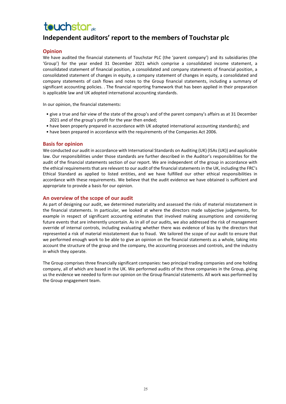### **Independent auditors' report to the members of Touchstar plc**

#### **Opinion**

We have audited the financial statements of Touchstar PLC (the 'parent company') and its subsidiaries (the 'Group') for the year ended 31 December 2021 which comprise a consolidated income statement, a consolidated statement of financial position, a consolidated and company statements of financial position, a consolidated statement of changes in equity, a company statement of changes in equity, a consolidated and company statements of cash flows and notes to the Group financial statements, including a summary of significant accounting policies. . The financial reporting framework that has been applied in their preparation is applicable law and UK adopted international accounting standards.

In our opinion, the financial statements:

- give a true and fair view of the state of the group's and of the parent company's affairs as at 31 December 2021 and of the group's profit for the year then ended;
- have been properly prepared in accordance with UK adopted international accounting standards]; and
- have been prepared in accordance with the requirements of the Companies Act 2006.

#### **Basis for opinion**

We conducted our audit in accordance with International Standards on Auditing (UK) (ISAs (UK)) and applicable law. Our responsibilities under those standards are further described in the Auditor's responsibilities for the audit of the financial statements section of our report. We are independent of the group in accordance with the ethical requirements that are relevant to our audit of the financial statements in the UK, including the FRC's Ethical Standard as applied to listed entities, and we have fulfilled our other ethical responsibilities in accordance with these requirements. We believe that the audit evidence we have obtained is sufficient and appropriate to provide a basis for our opinion.

#### **An overview of the scope of our audit**

As part of designing our audit, we determined materiality and assessed the risks of material misstatement in the financial statements. In particular, we looked at where the directors made subjective judgements, for example in respect of significant accounting estimates that involved making assumptions and considering future events that are inherently uncertain. As in all of our audits, we also addressed the risk of management override of internal controls, including evaluating whether there was evidence of bias by the directors that represented a risk of material misstatement due to fraud. We tailored the scope of our audit to ensure that we performed enough work to be able to give an opinion on the financial statements as a whole, taking into account the structure of the group and the company, the accounting processes and controls, and the industry in which they operate.

The Group comprises three financially significant companies: two principal trading companies and one holding company, all of which are based in the UK. We performed audits of the three companies in the Group, giving us the evidence we needed to form our opinion on the Group financial statements. All work was performed by the Group engagement team.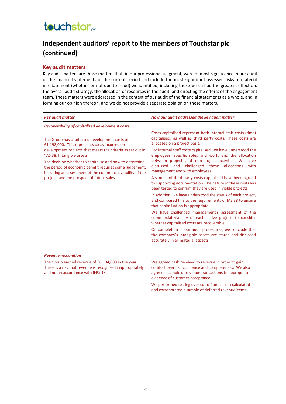## **touchstar**<sub>de</sub>

## **Independent auditors' report to the members of Touchstar plc (continued)**

#### **Key audit matters**

Key audit matters are those matters that, in our professional judgment, were of most significance in our audit of the financial statements of the current period and include the most significant assessed risks of material misstatement (whether or not due to fraud) we identified, including those which had the greatest effect on: the overall audit strategy, the allocation of resources in the audit; and directing the efforts of the engagement team. These matters were addressed in the context of our audit of the financial statements as a whole, and in forming our opinion thereon, and we do not provide a separate opinion on these matters.

| <b>Key audit matter</b>                                                                                                                                                                                                                                                                                                      | How our audit addressed the key audit matter                                                                                                                                                                                                                                   |  |  |
|------------------------------------------------------------------------------------------------------------------------------------------------------------------------------------------------------------------------------------------------------------------------------------------------------------------------------|--------------------------------------------------------------------------------------------------------------------------------------------------------------------------------------------------------------------------------------------------------------------------------|--|--|
| <b>Recoverability of capitalised development costs</b>                                                                                                                                                                                                                                                                       |                                                                                                                                                                                                                                                                                |  |  |
| The Group has capitalised development costs of<br>£1,198,000. This represents costs incurred on                                                                                                                                                                                                                              | Costs capitalised represent both internal staff costs (time)<br>capitalised, as well as third party costs. These costs are<br>allocated on a project basis.                                                                                                                    |  |  |
| development projects that meets the criteria as set out in<br>'IAS 38: Intangible assets'.<br>The decision whether to capitalise and how to determine<br>the period of economic benefit requires some judgement,<br>including an assessment of the commercial viability of the<br>project, and the prospect of future sales. | For internal staff costs capitalised, we have understood the<br>employees' specific roles and work, and the allocation<br>between project and non-project activities. We have<br>challenged these<br>discussed<br>and<br>allocations<br>with<br>management and with employees. |  |  |
|                                                                                                                                                                                                                                                                                                                              | A sample of third-party costs capitalised have been agreed<br>to supporting documentation. The nature of these costs has<br>been tested to confirm they are used in viable projects.                                                                                           |  |  |
|                                                                                                                                                                                                                                                                                                                              | In addition, we have understood the status of each project,<br>and compared this to the requirements of IAS 38 to ensure<br>that capitalisation is appropriate.                                                                                                                |  |  |
|                                                                                                                                                                                                                                                                                                                              | We have challenged management's assessment of the<br>commercial viability of each active project, to consider<br>whether capitalised costs are recoverable.                                                                                                                    |  |  |
|                                                                                                                                                                                                                                                                                                                              | On completion of our audit procedures, we conclude that<br>the company's intangible assets are stated and disclosed<br>accurately in all material aspects.                                                                                                                     |  |  |
| <b>Revenue recognition</b>                                                                                                                                                                                                                                                                                                   |                                                                                                                                                                                                                                                                                |  |  |
| The Group earned revenue of £6,104,000 in the year.<br>There is a risk that revenue is recognised inappropriately                                                                                                                                                                                                            | We agreed cash received to revenue in order to gain<br>comfort over its occurrence and completeness. We also                                                                                                                                                                   |  |  |

and not in accordance with IFRS 15.

comfort over its occurrence and completeness. We also agreed a sample of revenue transactions to appropriate evidence of customer acceptance.

We performed testing over cut-off and also recalculated and corroborated a sample of deferred revenue items.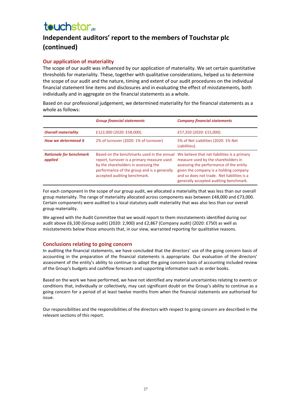## **Independent auditors' report to the members of Touchstar plc (continued)**

#### **Our application of materiality**

The scope of our audit was influenced by our application of materiality. We set certain quantitative thresholds for materiality. These, together with qualitative considerations, helped us to determine the scope of our audit and the nature, timing and extent of our audit procedures on the individual financial statement line items and disclosures and in evaluating the effect of misstatements, both individually and in aggregate on the financial statements as a whole.

Based on our professional judgement, we determined materiality for the financial statements as a whole as follows:

|                                           | <b>Group financial statements</b>                                                                                                                                                                               | <b>Company financial statements</b>                                                                                                                                                                                                                               |
|-------------------------------------------|-----------------------------------------------------------------------------------------------------------------------------------------------------------------------------------------------------------------|-------------------------------------------------------------------------------------------------------------------------------------------------------------------------------------------------------------------------------------------------------------------|
| <b>Overall materiality</b>                | £122,000 (2020: £58,000).                                                                                                                                                                                       | £57,350 (2020: £15,000).                                                                                                                                                                                                                                          |
| <b>How we determined it</b>               | 2% of turnover (2020: 1% of turnover)                                                                                                                                                                           | 5% of Net Liabilities (2020: 1% Net<br>Liabilities).                                                                                                                                                                                                              |
| <b>Rationale for benchmark</b><br>applied | Based on the benchmarks used in the annual<br>report, turnover is a primary measure used<br>by the shareholders in assessing the<br>performance of the group and is a generally<br>accepted auditing benchmark. | We believe that net liabilities is a primary<br>measure used by the shareholders in<br>assessing the performance of the entity<br>given the company is a holding company<br>and so does not trade. Net liabilities is a<br>generally accepted auditing benchmark. |

For each component in the scope of our group audit, we allocated a materiality that was less than our overall group materiality. The range of materiality allocated across components was between £48,000 and £73,000. Certain components were audited to a local statutory audit materiality that was also less than our overall group materiality.

We agreed with the Audit Committee that we would report to them misstatements identified during our audit above £6,100 (Group audit) (2020: 2,900) and £2,867 (Company audit) (2020: £750) as well as misstatements below those amounts that, in our view, warranted reporting for qualitative reasons.

#### **Conclusions relating to going concern**

In auditing the financial statements, we have concluded that the directors' use of the going concern basis of accounting in the preparation of the financial statements is appropriate. Our evaluation of the directors' assessment of the entity's ability to continue to adopt the going concern basis of accounting included review of the Group's budgets and cashflow forecasts and supporting information such as order books.

Based on the work we have performed, we have not identified any material uncertainties relating to events or conditions that, individually or collectively, may cast significant doubt on the Group's ability to continue as a going concern for a period of at least twelve months from when the financial statements are authorised for issue.

Our responsibilities and the responsibilities of the directors with respect to going concern are described in the relevant sections of this report.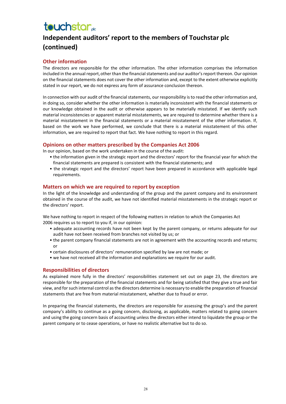## **Independent auditors' report to the members of Touchstar plc (continued)**

#### **Other information**

The directors are responsible for the other information. The other information comprises the information included in the annual report, other than the financial statements and our auditor's report thereon. Our opinion on the financial statements does not cover the other information and, except to the extent otherwise explicitly stated in our report, we do not express any form of assurance conclusion thereon.

In connection with our audit of the financial statements, our responsibility is to read the other information and, in doing so, consider whether the other information is materially inconsistent with the financial statements or our knowledge obtained in the audit or otherwise appears to be materially misstated. If we identify such material inconsistencies or apparent material misstatements, we are required to determine whether there is a material misstatement in the financial statements or a material misstatement of the other information. If, based on the work we have performed, we conclude that there is a material misstatement of this other information, we are required to report that fact. We have nothing to report in this regard.

#### **Opinions on other matters prescribed by the Companies Act 2006**

In our opinion, based on the work undertaken in the course of the audit:

- the information given in the strategic report and the directors' report for the financial year for which the financial statements are prepared is consistent with the financial statements; and
- the strategic report and the directors' report have been prepared in accordance with applicable legal requirements.

#### **Matters on which we are required to report by exception**

In the light of the knowledge and understanding of the group and the parent company and its environment obtained in the course of the audit, we have not identified material misstatements in the strategic report or the directors' report.

We have nothing to report in respect of the following matters in relation to which the Companies Act 2006 requires us to report to you if, in our opinion:

- adequate accounting records have not been kept by the parent company, or returns adequate for our audit have not been received from branches not visited by us; or
- the parent company financial statements are not in agreement with the accounting records and returns; or
- certain disclosures of directors' remuneration specified by law are not made; or
- we have not received all the information and explanations we require for our audit.

#### **Responsibilities of directors**

As explained more fully in the directors' responsibilities statement set out on page 23, the directors are responsible for the preparation of the financial statements and for being satisfied that they give a true and fair view, and for such internal control as the directors determine is necessary to enable the preparation of financial statements that are free from material misstatement, whether due to fraud or error.

In preparing the financial statements, the directors are responsible for assessing the group's and the parent company's ability to continue as a going concern, disclosing, as applicable, matters related to going concern and using the going concern basis of accounting unless the directors either intend to liquidate the group or the parent company or to cease operations, or have no realistic alternative but to do so.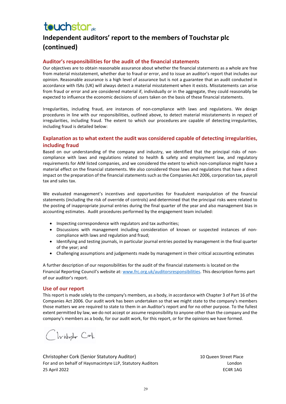## **Independent auditors' report to the members of Touchstar plc (continued)**

#### **Auditor's responsibilities for the audit of the financial statements**

Our objectives are to obtain reasonable assurance about whether the financial statements as a whole are free from material misstatement, whether due to fraud or error, and to issue an auditor's report that includes our opinion. Reasonable assurance is a high level of assurance but is not a guarantee that an audit conducted in accordance with ISAs (UK) will always detect a material misstatement when it exists. Misstatements can arise from fraud or error and are considered material if, individually or in the aggregate, they could reasonably be expected to influence the economic decisions of users taken on the basis of these financial statements.

Irregularities, including fraud, are instances of non-compliance with laws and regulations. We design procedures in line with our responsibilities, outlined above, to detect material misstatements in respect of irregularities, including fraud. The extent to which our procedures are capable of detecting irregularities, including fraud is detailed below:

#### **Explanation as to what extent the audit was considered capable of detecting irregularities, including fraud**

Based on our understanding of the company and industry, we identified that the principal risks of noncompliance with laws and regulations related to health & safety and employment law, and regulatory requirements for AIM listed companies, and we considered the extent to which non-compliance might have a material effect on the financial statements. We also considered those laws and regulations that have a direct impact on the preparation of the financial statements such as the Companies Act 2006, corporation tax, payroll tax and sales tax.  

We evaluated management's incentives and opportunities for fraudulent manipulation of the financial statements (including the risk of override of controls) and determined that the principal risks were related to the posting of inappropriate journal entries during the final quarter of the year and also management bias in accounting estimates. Audit procedures performed by the engagement team included: 

- Inspecting correspondence with regulators and tax authorities;
- Discussions with management including consideration of known or suspected instances of noncompliance with laws and regulation and fraud;
- Identifying and testing journals, in particular journal entries posted by management in the final quarter of the year; and
- Challenging assumptions and judgements made by management in their critical accounting estimates

A further description of our responsibilities for the audit of the financial statements is located on the Financial Reporting Council's website at[: www.frc.org.uk/auditorsresponsibilities.](http://www.frc.org.uk/auditorsresponsibilities) This description forms part of our auditor's report.

#### **Use of our report**

This report is made solely to the company's members, as a body, in accordance with Chapter 3 of Part 16 of the Companies Act 2006. Our audit work has been undertaken so that we might state to the company's members those matters we are required to state to them in an Auditor's report and for no other purpose. To the fullest extent permitted by law, we do not accept or assume responsibility to anyone other than the company and the company's members as a body, for our audit work, for this report, or for the opinions we have formed.

Clvistopher Cark

Christopher Cork (Senior Statutory Auditor) 10 Queen Street Place For and on behalf of Haysmacintyre LLP, Statutory Auditors **Landon** London 25 April 2022 EC4R 1AG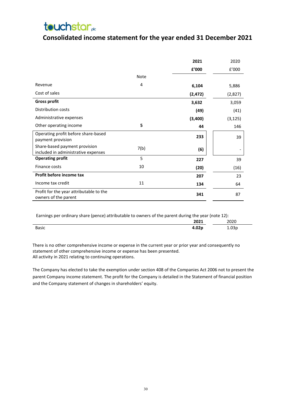### **Consolidated income statement for the year ended 31 December 2021**

|                                                                      |      | 2021     | 2020     |
|----------------------------------------------------------------------|------|----------|----------|
|                                                                      |      | £'000    | f'000    |
|                                                                      | Note |          |          |
| Revenue                                                              | 4    | 6,104    | 5,886    |
| Cost of sales                                                        |      | (2, 472) | (2,827)  |
| <b>Gross profit</b>                                                  |      | 3,632    | 3,059    |
| Distribution costs                                                   |      | (49)     | (41)     |
| Administrative expenses                                              |      | (3,400)  | (3, 125) |
| Other operating income                                               | 5    | 44       | 146      |
| Operating profit before share-based<br>payment provision             |      | 233      | 39       |
| Share-based payment provision<br>included in administrative expenses | 7(b) | (6)      |          |
| <b>Operating profit</b>                                              | 5    | 227      | 39       |
| Finance costs                                                        | 10   | (20)     | (16)     |
| Profit before income tax                                             |      | 207      | 23       |
| Income tax credit                                                    | 11   | 134      | 64       |
| Profit for the year attributable to the<br>owners of the parent      |      | 341      | 87       |

Earnings per ordinary share (pence) attributable to owners of the parent during the year (note 12):

| $ -$         | __ | $\sim$ | ___ | __<br>__<br>2021  | _____<br>__<br>วกวก |
|--------------|----|--------|-----|-------------------|---------------------|
| <b>Basic</b> |    |        |     | 4.02 <sub>F</sub> | T.NP                |

There is no other comprehensive income or expense in the current year or prior year and consequently no statement of other comprehensive income or expense has been presented. All activity in 2021 relating to continuing operations.

The Company has elected to take the exemption under section 408 of the Companies Act 2006 not to present the parent Company income statement. The profit for the Company is detailed in the Statement of financial position and the Company statement of changes in shareholders' equity.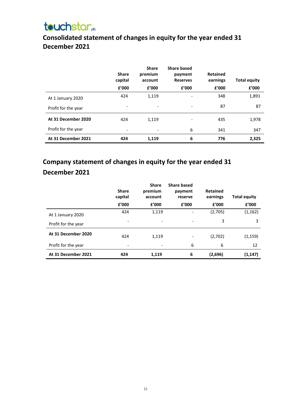## **Consolidated statement of changes in equity for the year ended 31 December 2021**

|                     | <b>Share</b><br>capital<br>f'000 | <b>Share</b><br>premium<br>account<br>f'000 | <b>Share based</b><br>payment<br><b>Reserves</b><br>f'000 | <b>Retained</b><br>earnings<br>f'000 | <b>Total equity</b><br>f'000 |
|---------------------|----------------------------------|---------------------------------------------|-----------------------------------------------------------|--------------------------------------|------------------------------|
| At 1 January 2020   | 424                              | 1,119                                       | $\overline{\phantom{a}}$                                  | 348                                  | 1,891                        |
| Profit for the year |                                  | $\overline{\phantom{a}}$                    | $\overline{\phantom{0}}$                                  | 87                                   | 87                           |
| At 31 December 2020 | 424                              | 1,119                                       |                                                           | 435                                  | 1,978                        |
| Profit for the year | $\overline{\phantom{a}}$         | $\overline{\phantom{a}}$                    | 6                                                         | 341                                  | 347                          |
| At 31 December 2021 | 424                              | 1,119                                       | 6                                                         | 776                                  | 2,325                        |

## **Company statement of changes in equity for the year ended 31 December 2021**

|                     | <b>Share</b><br>capital  | <b>Share</b><br>premium<br>account | <b>Share based</b><br>payment<br>reserve | <b>Retained</b><br>earnings | <b>Total equity</b> |
|---------------------|--------------------------|------------------------------------|------------------------------------------|-----------------------------|---------------------|
|                     | f'000                    | £'000                              | £'000                                    | £'000                       | £'000               |
| At 1 January 2020   | 424                      | 1,119                              |                                          | (2,705)                     | (1, 162)            |
| Profit for the year |                          |                                    |                                          | 3                           | 3                   |
| At 31 December 2020 | 424                      | 1,119                              | $\overline{\phantom{a}}$                 | (2,702)                     | (1, 159)            |
| Profit for the year | $\overline{\phantom{a}}$ |                                    | 6                                        | 6                           | 12                  |
| At 31 December 2021 | 424                      | 1,119                              | 6                                        | (2,696)                     | (1, 147)            |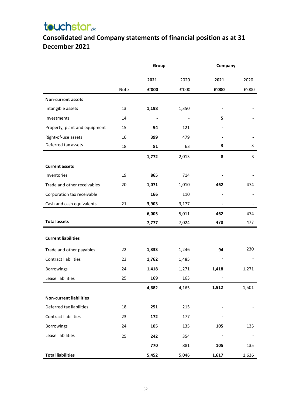## **Consolidated and Company statements of financial position as at 31 December 2021**

|                                | Group |                        | Company |                |                       |
|--------------------------------|-------|------------------------|---------|----------------|-----------------------|
|                                |       | 2021                   | 2020    | 2021           | 2020                  |
|                                | Note  | ${\bf f}^{\prime}$ 000 | E'000   | £'000          | ${\tt f}^{\prime}000$ |
| Non-current assets             |       |                        |         |                |                       |
| Intangible assets              | 13    | 1,198                  | 1,350   |                |                       |
| Investments                    | 14    |                        |         | 5              |                       |
| Property, plant and equipment  | 15    | 94                     | 121     |                |                       |
| Right-of-use assets            | 16    | 399                    | 479     |                |                       |
| Deferred tax assets            | 18    | 81                     | 63      | 3              | 3                     |
|                                |       | 1,772                  | 2,013   | 8              | 3                     |
| <b>Current assets</b>          |       |                        |         |                |                       |
| Inventories                    | 19    | 865                    | 714     |                |                       |
| Trade and other receivables    | 20    | 1,071                  | 1,010   | 462            | 474                   |
| Corporation tax receivable     |       | 166                    | 110     |                |                       |
| Cash and cash equivalents      | 21    | 3,903                  | 3,177   | $\blacksquare$ |                       |
|                                |       | 6,005                  | 5,011   | 462            | 474                   |
| <b>Total assets</b>            |       | 7,777                  | 7,024   | 470            | 477                   |
|                                |       |                        |         |                |                       |
| <b>Current liabilities</b>     |       |                        |         |                |                       |
| Trade and other payables       | 22    | 1,333                  | 1,246   | 94             | 230                   |
| <b>Contract liabilities</b>    | 23    | 1,762                  | 1,485   |                |                       |
| Borrowings                     | 24    | 1,418                  | 1,271   | 1,418          | 1,271                 |
| Lease liabilities              | 25    | 169                    | 163     |                |                       |
|                                |       | 4,682                  | 4,165   | 1,512          | 1,501                 |
| <b>Non-current liabilities</b> |       |                        |         |                |                       |
| Deferred tax liabilities       | 18    | 251                    | 215     |                |                       |
| Contract liabilities           | 23    | 172                    | 177     |                |                       |
| <b>Borrowings</b>              | 24    | 105                    | 135     | 105            | 135                   |
| Lease liabilities              | 25    | 242                    | 354     |                |                       |
|                                |       | 770                    | 881     | 105            | 135                   |
| <b>Total liabilities</b>       |       | 5,452                  | 5,046   | 1,617          | 1,636                 |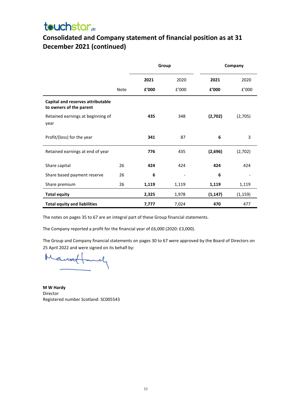## **Consolidated and Company statement of financial position as at 31 December 2021 (continued)**

|                                                              |      | Group |       |          | Company  |
|--------------------------------------------------------------|------|-------|-------|----------|----------|
|                                                              |      | 2021  | 2020  | 2021     | 2020     |
|                                                              | Note | £'000 | f'000 | £'000    | f'000    |
| Capital and reserves attributable<br>to owners of the parent |      |       |       |          |          |
| Retained earnings at beginning of<br>year                    |      | 435   | 348   | (2,702)  | (2,705)  |
| Profit/(loss) for the year                                   |      | 341   | 87    | 6        | 3        |
| Retained earnings at end of year                             |      | 776   | 435   | (2,696)  | (2,702)  |
| Share capital                                                | 26   | 424   | 424   | 424      | 424      |
| Share based payment reserve                                  | 26   | 6     |       | 6        |          |
| Share premium                                                | 26   | 1,119 | 1,119 | 1,119    | 1,119    |
| <b>Total equity</b>                                          |      | 2,325 | 1,978 | (1, 147) | (1, 159) |
| <b>Total equity and liabilities</b>                          |      | 7,777 | 7,024 | 470      | 477      |

The notes on pages 35 to 67 are an integral part of these Group financial statements.

The Company reported a profit for the financial year of £6,000 (2020: £3,000).

The Group and Company financial statements on pages 30 to 67 were approved by the Board of Directors on 25 April 2022 and were signed on its behalf by:

and

**M W Hardy** Director<br>Registered number Scotland: SC005543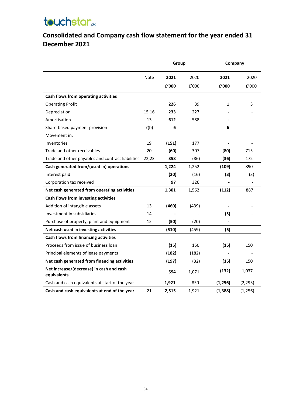## **Consolidated and Company cash flow statement for the year ended 31 December 2021**

|                                                         |       | Group |       | Company  |          |
|---------------------------------------------------------|-------|-------|-------|----------|----------|
|                                                         | Note  | 2021  | 2020  | 2021     | 2020     |
|                                                         |       | £'000 | f'000 | £'000    | E'000    |
| Cash flows from operating activities                    |       |       |       |          |          |
| <b>Operating Profit</b>                                 |       | 226   | 39    | 1        | 3        |
| Depreciation                                            | 15,16 | 233   | 227   |          |          |
| Amortisation                                            | 13    | 612   | 588   |          |          |
| Share-based payment provision                           | 7(b)  | 6     |       | 6        |          |
| Movement in:                                            |       |       |       |          |          |
| Inventories                                             | 19    | (151) | 177   |          |          |
| Trade and other receivables                             | 20    | (60)  | 307   | (80)     | 715      |
| Trade and other payables and contract liabilities       | 22,23 | 358   | (86)  | (36)     | 172      |
| Cash generated from/(used in) operations                |       | 1,224 | 1,252 | (109)    | 890      |
| Interest paid                                           |       | (20)  | (16)  | (3)      | (3)      |
| Corporation tax received                                |       | 97    | 326   |          |          |
| Net cash generated from operating activities            |       | 1,301 | 1,562 | (112)    | 887      |
| Cash flows from investing activities                    |       |       |       |          |          |
| Addition of intangible assets                           | 13    | (460) | (439) |          |          |
| Investment in subsidiaries                              | 14    |       |       | (5)      |          |
| Purchase of property, plant and equipment               | 15    | (50)  | (20)  |          |          |
| Net cash used in investing activities                   |       | (510) | (459) | (5)      |          |
| Cash flows from financing activities                    |       |       |       |          |          |
| Proceeds from issue of business loan                    |       | (15)  | 150   | (15)     | 150      |
| Principal elements of lease payments                    |       | (182) | (182) |          |          |
| Net cash generated from financing activities            |       | (197) | (32)  | (15)     | 150      |
| Net increase/(decrease) in cash and cash<br>equivalents |       | 594   | 1,071 | (132)    | 1,037    |
| Cash and cash equivalents at start of the year          |       | 1,921 | 850   | (1,256)  | (2, 293) |
| Cash and cash equivalents at end of the year            | 21    | 2,515 | 1,921 | (1, 388) | (1, 256) |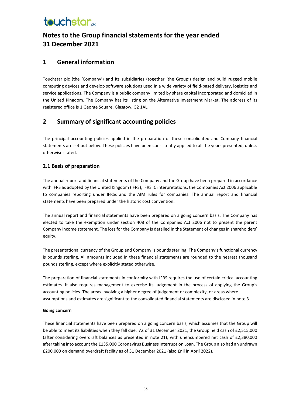## **Notes to the Group financial statements for the year ended 31 December 2021**

### **1 General information**

Touchstar plc (the 'Company') and its subsidiaries (together 'the Group') design and build rugged mobile computing devices and develop software solutions used in a wide variety of field-based delivery, logistics and service applications. The Company is a public company limited by share capital incorporated and domiciled in the United Kingdom. The Company has its listing on the Alternative Investment Market. The address of its registered office is 1 George Square, Glasgow, G2 1AL.

### **2 Summary of significant accounting policies**

The principal accounting policies applied in the preparation of these consolidated and Company financial statements are set out below. These policies have been consistently applied to all the years presented, unless otherwise stated.

#### **2.1 Basis of preparation**

The annual report and financial statements of the Company and the Group have been prepared in accordance with IFRS as adopted by the United Kingdom (IFRS), IFRS IC interpretations, the Companies Act 2006 applicable to companies reporting under IFRSs and the AIM rules for companies. The annual report and financial statements have been prepared under the historic cost convention.

The annual report and financial statements have been prepared on a going concern basis. The Company has elected to take the exemption under section 408 of the Companies Act 2006 not to present the parent Company income statement. The loss for the Company is detailed in the Statement of changes in shareholders' equity.

The presentational currency of the Group and Company is pounds sterling. The Company's functional currency is pounds sterling. All amounts included in these financial statements are rounded to the nearest thousand pounds sterling, except where explicitly stated otherwise.

The preparation of financial statements in conformity with IFRS requires the use of certain critical accounting estimates. It also requires management to exercise its judgement in the process of applying the Group's accounting policies. The areas involving a higher degree of judgement or complexity, or areas where assumptions and estimates are significant to the consolidated financial statements are disclosed in note 3.

#### **Going concern**

These financial statements have been prepared on a going concern basis, which assumes that the Group will be able to meet its liabilities when they fall due. As of 31 December 2021, the Group held cash of £2,515,000 (after considering overdraft balances as presented in note 21), with unencumbered net cash of £2,380,000 after taking into account the £135,000 Coronavirus Business Interruption Loan. The Group also had an undrawn £200,000 on demand overdraft facility as of 31 December 2021 (also £nil in April 2022).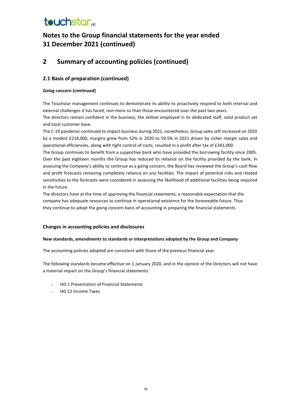## **Notes to the Group financial statements for the year ended 31 December 2021 (continued)**

### **2 Summary of accounting policies (continued)**

#### **2.1 Basis of preparation (continued)**

#### **Going concern (continued)**

The Touchstar management continues to demonstrate its ability to proactively respond to both internal and external challenges it has faced, non-more so than those encountered over the past two years. The directors remain confident in the business, the skillset employed in its dedicated staff, solid product set

and loyal customer base.

The C-19 pandemic continued to impact business during 2021, nonetheless, Group sales still increased on 2020 by a modest £218,000, margins grew from 52% in 2020 to 59.5% in 2021 driven by richer margin sales and operational efficiencies, along with tight control of costs, resulted in a profit after tax of £341,000.

The Group continues to benefit from a supportive bank who have provided the borrowing facility since 2005. Over the past eighteen months the Group has reduced its reliance on the facility provided by the bank. In assessing the Company's ability to continue as a going concern, the Board has reviewed the Group's cash flow and profit forecasts removing completely reliance on any facilities. The impact of potential risks and related sensitivities to the forecasts were considered in assessing the likelihood of additional facilities being required in the future

The directors have at the time of approving the financial statements, a reasonable expectation that the company has adequate resources to continue in operational existence for the foreseeable future. Thus they continue to adopt the going concern basis of accounting in preparing the financial statements.

#### **Changes in accounting policies and disclosures**

#### **New standards, amendments to standards or interpretations adopted by the Group and Company**

The accounting policies adopted are consistent with those of the previous financial year.

The following standards became effective on 1 January 2020, and in the opinion of the Directors will not have a material impact on the Group's financial statements:

- IAS 1 Presentation of Financial Statements
- IAS 12 Income Taxes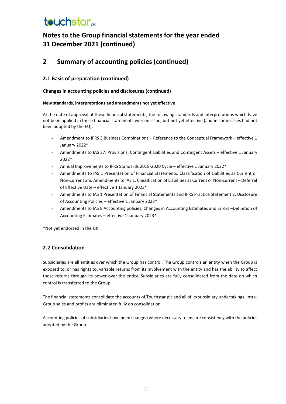## **Notes to the Group financial statements for the year ended 31 December 2021 (continued)**

### **2 Summary of accounting policies (continued)**

#### **2.1 Basis of preparation (continued)**

#### **Changes in accounting policies and disclosures (continued)**

#### **New standards, interpretations and amendments not yet effective**

At the date of approval of these financial statements, the following standards and interpretations which have not been applied in these financial statements were in issue, but not yet effective (and in some cases had not been adopted by the EU):

- Amendment to IFRS 3 Business Combinations Reference to the Conceptual Framework effective 1 January 2022\*
- Amendments to IAS 37: Provisions, Contingent Liabilities and Contingent Assets effective 1 January 2022\*
- Annual Improvements to IFRS Standards 2018-2020 Cycle effective 1 January 2022\*
- Amendments to IAS 1 Presentation of Financial Statements: Classification of Liabilities as Current or Non-current and Amendments to IAS 1: Classification of Liabilities as Current or Non-current – Deferral of Effective Date – effective 1 January 2023\*
- Amendments to IAS 1 Presentation of Financial Statements and IFRS Practice Statement 2: Disclosure of Accounting Policies – effective 1 January 2023\*
- Amendments to IAS 8 Accounting policies, Changes in Accounting Estimates and Errors -Definition of Accounting Estimates – effective 1 January 2023\*

\*Not yet endorsed in the UK

#### **2.2 Consolidation**

Subsidiaries are all entities over which the Group has control. The Group controls an entity when the Group is exposed to, or has rights to, variable returns from its involvement with the entity and has the ability to affect those returns through its power over the entity. Subsidiaries are fully consolidated from the date on which control is transferred to the Group.

The financial statements consolidate the accounts of Touchstar plc and all of its subsidiary undertakings. Intra-Group sales and profits are eliminated fully on consolidation.

Accounting policies of subsidiaries have been changed where necessary to ensure consistency with the policies adopted by the Group.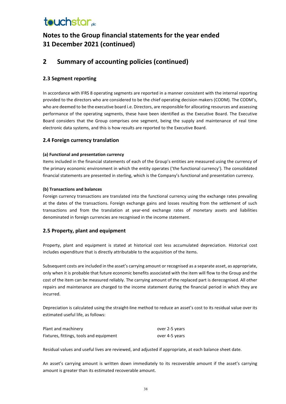## **Notes to the Group financial statements for the year ended 31 December 2021 (continued)**

### **2 Summary of accounting policies (continued)**

#### **2.3 Segment reporting**

In accordance with IFRS 8 operating segments are reported in a manner consistent with the internal reporting provided to the directors who are considered to be the chief operating decision makers (CODM). The CODM's, who are deemed to be the executive board i.e. Directors, are responsible for allocating resources and assessing performance of the operating segments, these have been identified as the Executive Board. The Executive Board considers that the Group comprises one segment, being the supply and maintenance of real time electronic data systems, and this is how results are reported to the Executive Board.

#### **2.4 Foreign currency translation**

#### **(a) Functional and presentation currency**

Items included in the financial statements of each of the Group's entities are measured using the currency of the primary economic environment in which the entity operates ('the functional currency'). The consolidated financial statements are presented in sterling, which is the Company's functional and presentation currency.

#### **(b) Transactions and balances**

Foreign currency transactions are translated into the functional currency using the exchange rates prevailing at the dates of the transactions. Foreign exchange gains and losses resulting from the settlement of such transactions and from the translation at year-end exchange rates of monetary assets and liabilities denominated in foreign currencies are recognised in the income statement.

#### **2.5 Property, plant and equipment**

Property, plant and equipment is stated at historical cost less accumulated depreciation. Historical cost includes expenditure that is directly attributable to the acquisition of the items.

Subsequent costs are included in the asset's carrying amount or recognised as a separate asset, as appropriate, only when it is probable that future economic benefits associated with the item will flow to the Group and the cost of the item can be measured reliably. The carrying amount of the replaced part is derecognised. All other repairs and maintenance are charged to the income statement during the financial period in which they are incurred.

Depreciation is calculated using the straight-line method to reduce an asset's cost to its residual value over its estimated useful life, as follows:

| Plant and machinery                     | over 2-5 years |
|-----------------------------------------|----------------|
| Fixtures, fittings, tools and equipment | over 4-5 years |

Residual values and useful lives are reviewed, and adjusted if appropriate, at each balance sheet date.

An asset's carrying amount is written down immediately to its recoverable amount if the asset's carrying amount is greater than its estimated recoverable amount.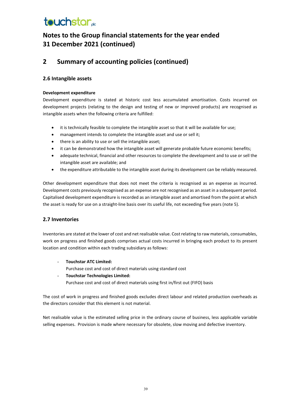### **Notes to the Group financial statements for the year ended 31 December 2021 (continued)**

### **2 Summary of accounting policies (continued)**

#### **2.6 Intangible assets**

#### **Development expenditure**

Development expenditure is stated at historic cost less accumulated amortisation. Costs incurred on development projects (relating to the design and testing of new or improved products) are recognised as intangible assets when the following criteria are fulfilled:

- it is technically feasible to complete the intangible asset so that it will be available for use;
- management intends to complete the intangible asset and use or sell it;
- there is an ability to use or sell the intangible asset;
- it can be demonstrated how the intangible asset will generate probable future economic benefits;
- adequate technical, financial and other resources to complete the development and to use or sell the intangible asset are available; and
- the expenditure attributable to the intangible asset during its development can be reliably measured.

Other development expenditure that does not meet the criteria is recognised as an expense as incurred. Development costs previously recognised as an expense are not recognised as an asset in a subsequent period. Capitalised development expenditure is recorded as an intangible asset and amortised from the point at which the asset is ready for use on a straight-line basis over its useful life, not exceeding five years (note 5).

#### **2.7 Inventories**

Inventories are stated at the lower of cost and net realisable value. Cost relating to raw materials, consumables, work on progress and finished goods comprises actual costs incurred in bringing each product to its present location and condition within each trading subsidiary as follows:

- **Touchstar ATC Limited:**

Purchase cost and cost of direct materials using standard cost

- **Touchstar Technologies Limited:** Purchase cost and cost of direct materials using first in/first out (FIFO) basis

The cost of work in progress and finished goods excludes direct labour and related production overheads as the directors consider that this element is not material.

Net realisable value is the estimated selling price in the ordinary course of business, less applicable variable selling expenses. Provision is made where necessary for obsolete, slow moving and defective inventory.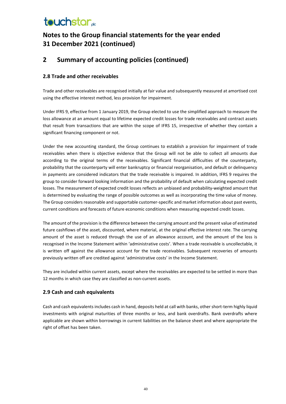## **Notes to the Group financial statements for the year ended 31 December 2021 (continued)**

### **2 Summary of accounting policies (continued)**

#### **2.8 Trade and other receivables**

Trade and other receivables are recognised initially at fair value and subsequently measured at amortised cost using the effective interest method, less provision for impairment.

Under IFRS 9, effective from 1 January 2019, the Group elected to use the simplified approach to measure the loss allowance at an amount equal to lifetime expected credit losses for trade receivables and contract assets that result from transactions that are within the scope of IFRS 15, irrespective of whether they contain a significant financing component or not.

Under the new accounting standard, the Group continues to establish a provision for impairment of trade receivables when there is objective evidence that the Group will not be able to collect all amounts due according to the original terms of the receivables. Significant financial difficulties of the counterparty, probability that the counterparty will enter bankruptcy or financial reorganisation, and default or delinquency in payments are considered indicators that the trade receivable is impaired. In addition, IFRS 9 requires the group to consider forward looking information and the probability of default when calculating expected credit losses. The measurement of expected credit losses reflects an unbiased and probability-weighted amount that is determined by evaluating the range of possible outcomes as well as incorporating the time value of money. The Group considers reasonable and supportable customer-specific and market information about past events, current conditions and forecasts of future economic conditions when measuring expected credit losses.

The amount of the provision is the difference between the carrying amount and the present value of estimated future cashflows of the asset, discounted, where material, at the original effective interest rate. The carrying amount of the asset is reduced through the use of an allowance account, and the amount of the loss is recognised in the Income Statement within 'administrative costs'. When a trade receivable is uncollectable, it is written off against the allowance account for the trade receivables. Subsequent recoveries of amounts previously written off are credited against 'administrative costs' in the Income Statement.

They are included within current assets, except where the receivables are expected to be settled in more than 12 months in which case they are classified as non-current assets.

#### **2.9 Cash and cash equivalents**

Cash and cash equivalents includes cash in hand, deposits held at call with banks, other short-term highly liquid investments with original maturities of three months or less, and bank overdrafts. Bank overdrafts where applicable are shown within borrowings in current liabilities on the balance sheet and where appropriate the right of offset has been taken.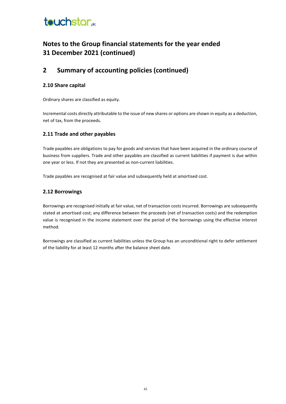### **Notes to the Group financial statements for the year ended 31 December 2021 (continued)**

### **2 Summary of accounting policies (continued)**

#### **2.10 Share capital**

Ordinary shares are classified as equity.

Incremental costs directly attributable to the issue of new shares or options are shown in equity as a deduction, net of tax, from the proceeds.

#### **2.11 Trade and other payables**

Trade payables are obligations to pay for goods and services that have been acquired in the ordinary course of business from suppliers. Trade and other payables are classified as current liabilities if payment is due within one year or less. If not they are presented as non-current liabilities.

Trade payables are recognised at fair value and subsequently held at amortised cost.

#### **2.12 Borrowings**

Borrowings are recognised initially at fair value, net of transaction costs incurred. Borrowings are subsequently stated at amortised cost; any difference between the proceeds (net of transaction costs) and the redemption value is recognised in the income statement over the period of the borrowings using the effective interest method.

Borrowings are classified as current liabilities unless the Group has an unconditional right to defer settlement of the liability for at least 12 months after the balance sheet date.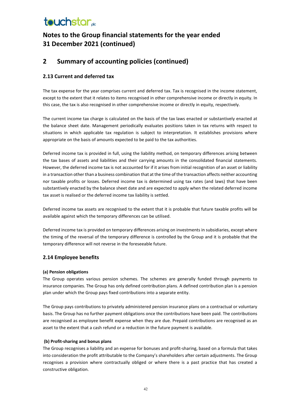## **Notes to the Group financial statements for the year ended 31 December 2021 (continued)**

### **2 Summary of accounting policies (continued)**

#### **2.13 Current and deferred tax**

The tax expense for the year comprises current and deferred tax. Tax is recognised in the income statement, except to the extent that it relates to items recognised in other comprehensive income or directly in equity. In this case, the tax is also recognised in other comprehensive income or directly in equity, respectively.

The current income tax charge is calculated on the basis of the tax laws enacted or substantively enacted at the balance sheet date. Management periodically evaluates positions taken in tax returns with respect to situations in which applicable tax regulation is subject to interpretation. It establishes provisions where appropriate on the basis of amounts expected to be paid to the tax authorities.

Deferred income tax is provided in full, using the liability method, on temporary differences arising between the tax bases of assets and liabilities and their carrying amounts in the consolidated financial statements. However, the deferred income tax is not accounted for if it arises from initial recognition of an asset or liability in a transaction other than a business combination that at the time of the transaction affects neither accounting nor taxable profits or losses. Deferred income tax is determined using tax rates (and laws) that have been substantively enacted by the balance sheet date and are expected to apply when the related deferred income tax asset is realised or the deferred income tax liability is settled.

Deferred income tax assets are recognised to the extent that it is probable that future taxable profits will be available against which the temporary differences can be utilised.

Deferred income tax is provided on temporary differences arising on investments in subsidiaries, except where the timing of the reversal of the temporary difference is controlled by the Group and it is probable that the temporary difference will not reverse in the foreseeable future.

#### **2.14 Employee benefits**

#### **(a) Pension obligations**

The Group operates various pension schemes. The schemes are generally funded through payments to insurance companies. The Group has only defined contribution plans. A defined contribution plan is a pension plan under which the Group pays fixed contributions into a separate entity.

The Group pays contributions to privately administered pension insurance plans on a contractual or voluntary basis. The Group has no further payment obligations once the contributions have been paid. The contributions are recognised as employee benefit expense when they are due. Prepaid contributions are recognised as an asset to the extent that a cash refund or a reduction in the future payment is available.

#### **(b) Profit-sharing and bonus plans**

The Group recognises a liability and an expense for bonuses and profit-sharing, based on a formula that takes into consideration the profit attributable to the Company's shareholders after certain adjustments. The Group recognises a provision where contractually obliged or where there is a past practice that has created a constructive obligation.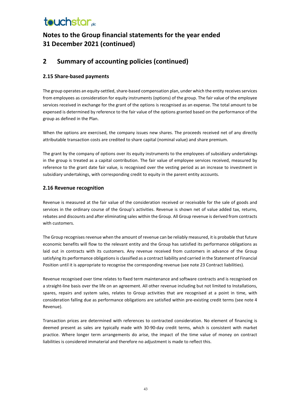## **Notes to the Group financial statements for the year ended 31 December 2021 (continued)**

### **2 Summary of accounting policies (continued)**

#### **2.15 Share-based payments**

The group operates an equity-settled, share-based compensation plan, under which the entity receives services from employees as consideration for equity instruments (options) of the group. The fair value of the employee services received in exchange for the grant of the options is recognised as an expense. The total amount to be expensed is determined by reference to the fair value of the options granted based on the performance of the group as defined in the Plan.

When the options are exercised, the company issues new shares. The proceeds received net of any directly attributable transaction costs are credited to share capital (nominal value) and share premium.

The grant by the company of options over its equity instruments to the employees of subsidiary undertakings in the group is treated as a capital contribution. The fair value of employee services received, measured by reference to the grant date fair value, is recognised over the vesting period as an increase to investment in subsidiary undertakings, with corresponding credit to equity in the parent entity accounts.

#### **2.16 Revenue recognition**

Revenue is measured at the fair value of the consideration received or receivable for the sale of goods and services in the ordinary course of the Group's activities. Revenue is shown net of value added tax, returns, rebates and discounts and after eliminating sales within the Group. All Group revenue is derived from contracts with customers.

The Group recognises revenue when the amount of revenue can be reliably measured, it is probable that future economic benefits will flow to the relevant entity and the Group has satisfied its performance obligations as laid out in contracts with its customers. Any revenue received from customers in advance of the Group satisfying its performance obligations is classified as a contract liability and carried in the Statement of Financial Position until it is appropriate to recognise the corresponding revenue (see note 23 Contract liabilities).

Revenue recognised over time relates to fixed term maintenance and software contracts and is recognised on a straight-line basis over the life on an agreement. All other revenue including but not limited to Installations, spares, repairs and system sales, relates to Group activities that are recognised at a point in time, with consideration falling due as performance obligations are satisfied within pre-existing credit terms (see note 4 Revenue).

Transaction prices are determined with references to contracted consideration. No element of financing is deemed present as sales are typically made with 30-90-day credit terms, which is consistent with market practice. Where longer term arrangements do arise, the impact of the time value of money on contract liabilities is considered immaterial and therefore no adjustment is made to reflect this.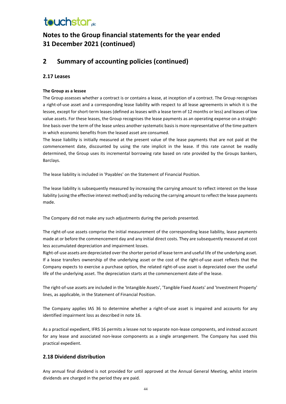## **Notes to the Group financial statements for the year ended 31 December 2021 (continued)**

### **2 Summary of accounting policies (continued)**

#### **2.17 Leases**

#### **The Group as a lessee**

The Group assesses whether a contract is or contains a lease, at inception of a contract. The Group recognises a right-of-use asset and a corresponding lease liability with respect to all lease agreements in which it is the lessee, except for short-term leases (defined as leases with a lease term of 12 months or less) and leases of low value assets. For these leases, the Group recognises the lease payments as an operating expense on a straightline basis over the term of the lease unless another systematic basis is more representative of the time pattern in which economic benefits from the leased asset are consumed.

The lease liability is initially measured at the present value of the lease payments that are not paid at the commencement date, discounted by using the rate implicit in the lease. If this rate cannot be readily determined, the Group uses its incremental borrowing rate based on rate provided by the Groups bankers, Barclays.

The lease liability is included in 'Payables' on the Statement of Financial Position.

The lease liability is subsequently measured by increasing the carrying amount to reflect interest on the lease liability (using the effective interest method) and by reducing the carrying amount to reflect the lease payments made.

The Company did not make any such adjustments during the periods presented.

The right-of-use assets comprise the initial measurement of the corresponding lease liability, lease payments made at or before the commencement day and any initial direct costs. They are subsequently measured at cost less accumulated depreciation and impairment losses.

Right-of-use assets are depreciated over the shorter period of lease term and useful life of the underlying asset. If a lease transfers ownership of the underlying asset or the cost of the right-of-use asset reflects that the Company expects to exercise a purchase option, the related right-of-use asset is depreciated over the useful life of the underlying asset. The depreciation starts at the commencement date of the lease.

The right-of-use assets are included in the 'Intangible Assets', 'Tangible Fixed Assets' and 'Investment Property' lines, as applicable, in the Statement of Financial Position.

The Company applies IAS 36 to determine whether a right-of-use asset is impaired and accounts for any identified impairment loss as described in note 16.

As a practical expedient, IFRS 16 permits a lessee not to separate non-lease components, and instead account for any lease and associated non-lease components as a single arrangement. The Company has used this practical expedient.

#### **2.18 Dividend distribution**

Any annual final dividend is not provided for until approved at the Annual General Meeting, whilst interim dividends are charged in the period they are paid.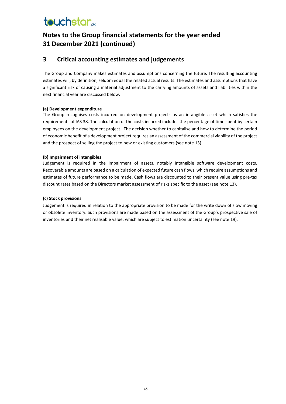### **Notes to the Group financial statements for the year ended 31 December 2021 (continued)**

#### **3 Critical accounting estimates and judgements**

The Group and Company makes estimates and assumptions concerning the future. The resulting accounting estimates will, by definition, seldom equal the related actual results. The estimates and assumptions that have a significant risk of causing a material adjustment to the carrying amounts of assets and liabilities within the next financial year are discussed below.

#### **(a) Development expenditure**

The Group recognises costs incurred on development projects as an intangible asset which satisfies the requirements of IAS 38. The calculation of the costs incurred includes the percentage of time spent by certain employees on the development project. The decision whether to capitalise and how to determine the period of economic benefit of a development project requires an assessment of the commercial viability of the project and the prospect of selling the project to new or existing customers (see note 13).

#### **(b) Impairment of intangibles**

Judgement is required in the impairment of assets, notably intangible software development costs. Recoverable amounts are based on a calculation of expected future cash flows, which require assumptions and estimates of future performance to be made. Cash flows are discounted to their present value using pre-tax discount rates based on the Directors market assessment of risks specific to the asset (see note 13).

#### **(c) Stock provisions**

Judgement is required in relation to the appropriate provision to be made for the write down of slow moving or obsolete inventory. Such provisions are made based on the assessment of the Group's prospective sale of inventories and their net realisable value, which are subject to estimation uncertainty (see note 19).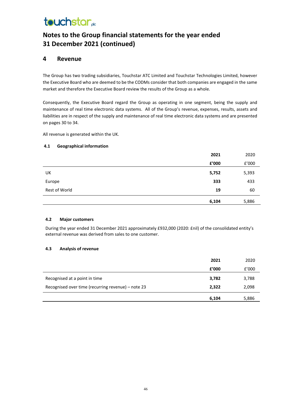## **Notes to the Group financial statements for the year ended 31 December 2021 (continued)**

#### **4 Revenue**

The Group has two trading subsidiaries, Touchstar ATC Limited and Touchstar Technologies Limited, however the Executive Board who are deemed to be the CODMs consider that both companies are engaged in the same market and therefore the Executive Board review the results of the Group as a whole.

Consequently, the Executive Board regard the Group as operating in one segment, being the supply and maintenance of real time electronic data systems. All of the Group's revenue, expenses, results, assets and liabilities are in respect of the supply and maintenance of real time electronic data systems and are presented on pages 30 to 34.

All revenue is generated within the UK.

#### **4.1 Geographical information**

|               | 2021  | 2020                  |
|---------------|-------|-----------------------|
|               | £'000 | ${\tt f}^{\prime}000$ |
| UK            | 5,752 | 5,393                 |
| Europe        | 333   | 433                   |
| Rest of World | 19    | 60                    |
|               | 6,104 | 5,886                 |

#### **4.2 Major customers**

During the year ended 31 December 2021 approximately £932,000 (2020: £nil) of the consolidated entity's external revenue was derived from sales to one customer.

#### **4.3 Analysis of revenue**

|                                                    | 2021  | 2020  |
|----------------------------------------------------|-------|-------|
|                                                    | f'000 | f'000 |
| Recognised at a point in time                      | 3,782 | 3,788 |
| Recognised over time (recurring revenue) – note 23 | 2,322 | 2,098 |
|                                                    | 6,104 | 5,886 |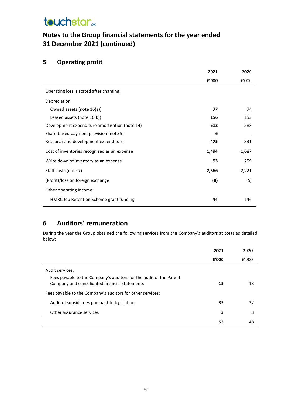## **Notes to the Group financial statements for the year ended 31 December 2021 (continued)**

### **5 Operating profit**

|                                                | 2021  | 2020  |
|------------------------------------------------|-------|-------|
|                                                | £'000 | f'000 |
| Operating loss is stated after charging:       |       |       |
| Depreciation:                                  |       |       |
| Owned assets (note 16(a))                      | 77    | 74    |
| Leased assets (note 16(b))                     | 156   | 153   |
| Development expenditure amortisation (note 14) | 612   | 588   |
| Share-based payment provision (note 5)         | 6     |       |
| Research and development expenditure           | 475   | 331   |
| Cost of inventories recognised as an expense   | 1,494 | 1,687 |
| Write down of inventory as an expense          | 93    | 259   |
| Staff costs (note 7)                           | 2,366 | 2,221 |
| (Profit)/loss on foreign exchange              | (8)   | (5)   |
| Other operating income:                        |       |       |
| HMRC Job Retention Scheme grant funding        | 44    | 146   |

### **6 Auditors' remuneration**

During the year the Group obtained the following services from the Company's auditors at costs as detailed below:

|                                                                                                                     | 2021  | 2020  |
|---------------------------------------------------------------------------------------------------------------------|-------|-------|
|                                                                                                                     | f'000 | f'000 |
| Audit services:                                                                                                     |       |       |
| Fees payable to the Company's auditors for the audit of the Parent<br>Company and consolidated financial statements | 15    | 13    |
| Fees payable to the Company's auditors for other services:                                                          |       |       |
| Audit of subsidiaries pursuant to legislation                                                                       | 35    | 32    |
| Other assurance services                                                                                            | 3     | 3     |
|                                                                                                                     | 53    | 48    |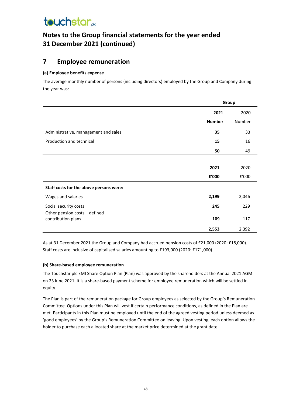### **Notes to the Group financial statements for the year ended 31 December 2021 (continued)**

### **7 Employee remuneration**

#### **(a) Employee benefits expense**

The average monthly number of persons (including directors) employed by the Group and Company during the year was:

|                                                     | Group         |        |
|-----------------------------------------------------|---------------|--------|
|                                                     | 2021          | 2020   |
|                                                     | <b>Number</b> | Number |
| Administrative, management and sales                | 35            | 33     |
| Production and technical                            | 15            | 16     |
|                                                     | 50            | 49     |
|                                                     |               |        |
|                                                     | 2021          | 2020   |
|                                                     | £'000         | £'000  |
| Staff costs for the above persons were:             |               |        |
| Wages and salaries                                  | 2,199         | 2,046  |
| Social security costs                               | 245           | 229    |
| Other pension costs - defined<br>contribution plans | 109           | 117    |
|                                                     | 2,553         | 2,392  |

As at 31 December 2021 the Group and Company had accrued pension costs of £21,000 (2020: £18,000). Staff costs are inclusive of capitalised salaries amounting to £193,000 (2020: £171,000).

#### **(b) Share-based employee remuneration**

The Touchstar plc EMI Share Option Plan (Plan) was approved by the shareholders at the Annual 2021 AGM on 23 June 2021. It is a share-based payment scheme for employee remuneration which will be settled in equity.

The Plan is part of the remuneration package for Group employees as selected by the Group's Remuneration Committee. Options under this Plan will vest if certain performance conditions, as defined in the Plan are met. Participants in this Plan must be employed until the end of the agreed vesting period unless deemed as 'good employees' by the Group's Remuneration Committee on leaving. Upon vesting, each option allows the holder to purchase each allocated share at the market price determined at the grant date.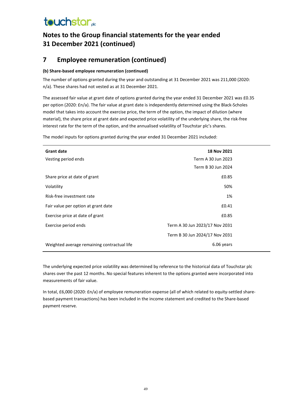## **Notes to the Group financial statements for the year ended 31 December 2021 (continued)**

### **7 Employee remuneration (continued)**

#### **(b) Share-based employee remuneration (continued)**

The number of options granted during the year and outstanding at 31 December 2021 was 211,000 (2020: n/a). These shares had not vested as at 31 December 2021.

The assessed fair value at grant date of options granted during the year ended 31 December 2021 was £0.35 per option (2020: £n/a). The fair value at grant date is independently determined using the Black-Scholes model that takes into account the exercise price, the term of the option, the impact of dilution (where material), the share price at grant date and expected price volatility of the underlying share, the risk-free interest rate for the term of the option, and the annualised volatility of Touchstar plc's shares.

The model inputs for options granted during the year ended 31 December 2021 included:

| <b>Grant date</b>                           | 18 Nov 2021                    |  |
|---------------------------------------------|--------------------------------|--|
| Vesting period ends                         | Term A 30 Jun 2023             |  |
|                                             | Term B 30 Jun 2024             |  |
| Share price at date of grant                | £0.85                          |  |
| Volatility                                  | 50%                            |  |
| Risk-free investment rate                   | 1%                             |  |
| Fair value per option at grant date         | £0.41                          |  |
| Exercise price at date of grant             | £0.85                          |  |
| Exercise period ends                        | Term A 30 Jun 2023/17 Nov 2031 |  |
|                                             | Term B 30 Jun 2024/17 Nov 2031 |  |
| Weighted average remaining contractual life | 6.06 years                     |  |

The underlying expected price volatility was determined by reference to the historical data of Touchstar plc shares over the past 12 months. No special features inherent to the options granted were incorporated into measurements of fair value.

In total, £6,000 (2020: £n/a) of employee remuneration expense (all of which related to equity-settled sharebased payment transactions) has been included in the income statement and credited to the Share-based payment reserve.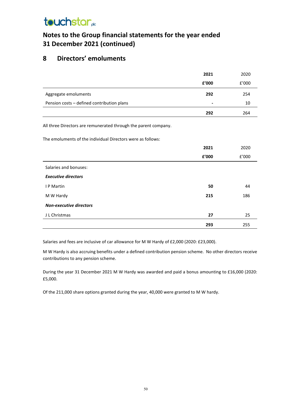## **Notes to the Group financial statements for the year ended 31 December 2021 (continued)**

### **8 Directors' emoluments**

|                                                                                                                                | 2021  | 2020  |
|--------------------------------------------------------------------------------------------------------------------------------|-------|-------|
|                                                                                                                                | £'000 | £'000 |
| Aggregate emoluments                                                                                                           | 292   | 254   |
| Pension costs - defined contribution plans                                                                                     |       | 10    |
|                                                                                                                                | 292   | 264   |
| All three Directors are remunerated through the parent company.<br>The emoluments of the individual Directors were as follows: |       |       |
|                                                                                                                                | 2021  | 2020  |
|                                                                                                                                | £'000 | f'000 |
| Salaries and bonuses:                                                                                                          |       |       |
| <b>Executive directors</b>                                                                                                     |       |       |
| I P Martin                                                                                                                     | 50    | 44    |
| M W Hardy                                                                                                                      | 215   | 186   |
| <b>Non-executive directors</b>                                                                                                 |       |       |
| J L Christmas                                                                                                                  | 27    | 25    |
|                                                                                                                                | 293   | 255   |

Salaries and fees are inclusive of car allowance for M W Hardy of £2,000 (2020: £23,000).

M W Hardy is also accruing benefits under a defined contribution pension scheme. No other directors receive contributions to any pension scheme.

During the year 31 December 2021 M W Hardy was awarded and paid a bonus amounting to £16,000 (2020: £5,000.

Of the 211,000 share options granted during the year, 40,000 were granted to M W hardy.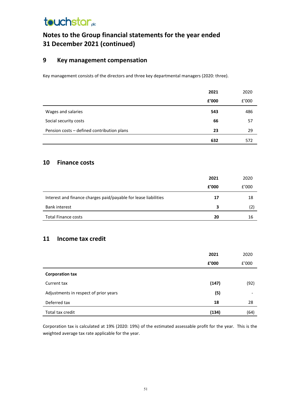## **Notes to the Group financial statements for the year ended 31 December 2021 (continued)**

#### **9 Key management compensation**

Key management consists of the directors and three key departmental managers (2020: three).

|                                            | 2021  | 2020  |
|--------------------------------------------|-------|-------|
|                                            | £'000 | f'000 |
| Wages and salaries                         | 543   | 486   |
| Social security costs                      | 66    | 57    |
| Pension costs - defined contribution plans | 23    | 29    |
|                                            | 632   | 572   |

#### **10 Finance costs**

|                                                                 | 2021  | 2020  |
|-----------------------------------------------------------------|-------|-------|
|                                                                 | £'000 | f'000 |
| Interest and finance charges paid/payable for lease liabilities | 17    | 18    |
| <b>Bank interest</b>                                            | 3     | (2)   |
| <b>Total Finance costs</b>                                      | 20    | 16    |

#### **11 Income tax credit**

|                                       | 2021  | 2020  |
|---------------------------------------|-------|-------|
|                                       | £'000 | f'000 |
| <b>Corporation tax</b>                |       |       |
| Current tax                           | (147) | (92)  |
| Adjustments in respect of prior years | (5)   |       |
| Deferred tax                          | 18    | 28    |
| Total tax credit                      | (134) | (64)  |

Corporation tax is calculated at 19% (2020: 19%) of the estimated assessable profit for the year. This is the weighted average tax rate applicable for the year.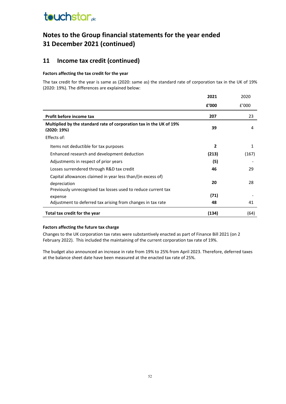### **Notes to the Group financial statements for the year ended 31 December 2021 (continued)**

### **11 Income tax credit (continued)**

#### **Factors affecting the tax credit for the year**

The tax credit for the year is same as (2020: same as) the standard rate of corporation tax in the UK of 19% (2020: 19%). The differences are explained below:

|                                                                                   | 2021  | 2020  |
|-----------------------------------------------------------------------------------|-------|-------|
|                                                                                   | f'000 | f'000 |
| Profit before income tax                                                          | 207   | 23    |
| Multiplied by the standard rate of corporation tax in the UK of 19%<br>(2020:19%) | 39    | 4     |
| Effects of:                                                                       |       |       |
| Items not deductible for tax purposes                                             | 2     | 1     |
| Enhanced research and development deduction                                       | (213) | (167) |
| Adjustments in respect of prior years                                             | (5)   |       |
| Losses surrendered through R&D tax credit                                         | 46    | 29    |
| Capital allowances claimed in year less than/(in excess of)<br>depreciation       | 20    | 28    |
| Previously unrecognised tax losses used to reduce current tax                     |       |       |
| expense                                                                           | (71)  |       |
| Adjustment to deferred tax arising from changes in tax rate                       | 48    | 41    |
| Total tax credit for the year                                                     | (134) | (64)  |

#### **Factors affecting the future tax charge**

Changes to the UK corporation tax rates were substantively enacted as part of Finance Bill 2021 (on 2 February 2022). This included the maintaining of the current corporation tax rate of 19%.

The budget also announced an increase in rate from 19% to 25% from April 2023. Therefore, deferred taxes at the balance sheet date have been measured at the enacted tax rate of 25%.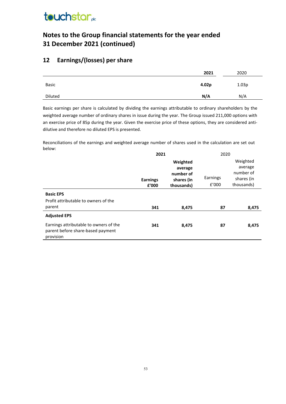### **Notes to the Group financial statements for the year ended 31 December 2021 (continued)**

### **12 Earnings/(losses) per share**

|         | 2021  | 2020  |
|---------|-------|-------|
| Basic   | 4.02p | 1.03p |
| Diluted | N/A   | N/A   |
|         |       |       |

Basic earnings per share is calculated by dividing the earnings attributable to ordinary shareholders by the weighted average number of ordinary shares in issue during the year. The Group issued 211,000 options with an exercise price of 85p during the year. Given the exercise price of these options, they are considered antidilutive and therefore no diluted EPS is presented.

Reconciliations of the earnings and weighted average number of shares used in the calculation are set out below:

|                                                                                          | 2021            |                                                | 2020     |                                                |
|------------------------------------------------------------------------------------------|-----------------|------------------------------------------------|----------|------------------------------------------------|
|                                                                                          | <b>Earnings</b> | Weighted<br>average<br>number of<br>shares (in | Earnings | Weighted<br>average<br>number of<br>shares (in |
|                                                                                          | f'000           | thousands)                                     | f'000    | thousands)                                     |
| <b>Basic EPS</b>                                                                         |                 |                                                |          |                                                |
| Profit attributable to owners of the                                                     |                 |                                                |          |                                                |
| parent                                                                                   | 341             | 8,475                                          | 87       | 8,475                                          |
| <b>Adjusted EPS</b>                                                                      |                 |                                                |          |                                                |
| Earnings attributable to owners of the<br>parent before share-based payment<br>provision | 341             | 8,475                                          | 87       | 8,475                                          |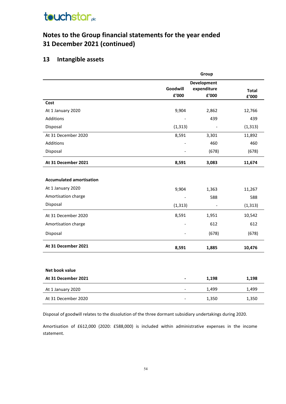### **Notes to the Group financial statements for the year ended 31 December 2021 (continued)**

### **13 Intangible assets**

|                                 | Group                    |                              |              |  |
|---------------------------------|--------------------------|------------------------------|--------------|--|
|                                 |                          | Development                  |              |  |
|                                 | Goodwill<br>£'000        | expenditure<br>£'000         | <b>Total</b> |  |
|                                 |                          |                              | £'000        |  |
| Cost                            |                          |                              |              |  |
| At 1 January 2020               | 9,904                    | 2,862                        | 12,766       |  |
| <b>Additions</b>                |                          | 439                          | 439          |  |
| Disposal                        | (1, 313)                 |                              | (1, 313)     |  |
| At 31 December 2020             | 8,591                    | 3,301                        | 11,892       |  |
| <b>Additions</b>                |                          | 460                          | 460          |  |
| Disposal                        |                          | (678)                        | (678)        |  |
| At 31 December 2021             | 8,591                    | 3,083                        | 11,674       |  |
|                                 |                          |                              |              |  |
| <b>Accumulated amortisation</b> |                          |                              |              |  |
| At 1 January 2020               | 9,904                    | 1,363                        | 11,267       |  |
| Amortisation charge             |                          | 588                          | 588          |  |
| Disposal                        | (1, 313)                 | $\qquad \qquad \blacksquare$ | (1, 313)     |  |
| At 31 December 2020             | 8,591                    | 1,951                        | 10,542       |  |
| Amortisation charge             |                          | 612                          | 612          |  |
| Disposal                        |                          | (678)                        | (678)        |  |
| At 31 December 2021             | 8,591                    | 1,885                        | 10,476       |  |
|                                 |                          |                              |              |  |
| Net book value                  |                          |                              |              |  |
| At 31 December 2021             |                          | 1,198                        | 1,198        |  |
| At 1 January 2020               | $\overline{\phantom{0}}$ | 1,499                        | 1,499        |  |
| At 31 December 2020             |                          | 1,350                        | 1,350        |  |
|                                 |                          |                              |              |  |

Disposal of goodwill relates to the dissolution of the three dormant subsidiary undertakings during 2020.

Amortisation of £612,000 (2020: £588,000) is included within administrative expenses in the income statement.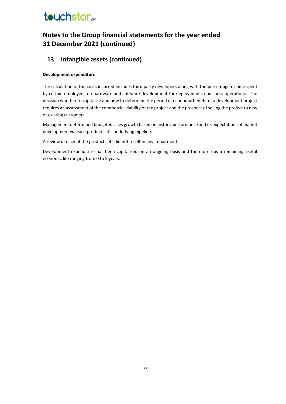### **Notes to the Group financial statements for the year ended 31 December 2021 (continued)**

### **13 Intangible assets (continued)**

#### **Development expenditure**

The calculation of the costs incurred includes third party developers along with the percentage of time spent by certain employees on hardware and software development for deployment in business operations. The decision whether to capitalise and how to determine the period of economic benefit of a development project requires an assessment of the commercial viability of the project and the prospect of selling the project to new or existing customers.

Management determined budgeted sales growth based on historic performance and its expectations of market development via each product set's underlying pipeline.

A review of each of the product sets did not result in any impairment.

Development expenditure has been capitalised on an ongoing basis and therefore has a remaining useful economic life ranging from 0 to 5 years.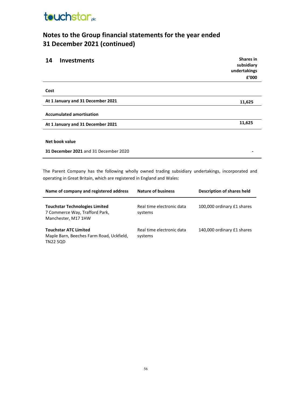

## **Notes to the Group financial statements for the year ended 31 December 2021 (continued)**

| 14<br><b>Investments</b>              | <b>Shares</b> in<br>subsidiary<br>undertakings<br>£'000 |
|---------------------------------------|---------------------------------------------------------|
| Cost                                  |                                                         |
| At 1 January and 31 December 2021     | 11,625                                                  |
| <b>Accumulated amortisation</b>       |                                                         |
| At 1 January and 31 December 2021     | 11,625                                                  |
|                                       |                                                         |
| Net book value                        |                                                         |
| 31 December 2021 and 31 December 2020 |                                                         |

The Parent Company has the following wholly owned trading subsidiary undertakings, incorporated and operating in Great Britain, which are registered in England and Wales:

| Name of company and registered address                                                         | <b>Nature of business</b>            | Description of shares held |
|------------------------------------------------------------------------------------------------|--------------------------------------|----------------------------|
| <b>Touchstar Technologies Limited</b><br>7 Commerce Way, Trafford Park,<br>Manchester, M17 1HW | Real time electronic data<br>systems | 100,000 ordinary £1 shares |
| <b>Touchstar ATC Limited</b><br>Maple Barn, Beeches Farm Road, Uckfield,<br><b>TN22 5QD</b>    | Real time electronic data<br>systems | 140,000 ordinary £1 shares |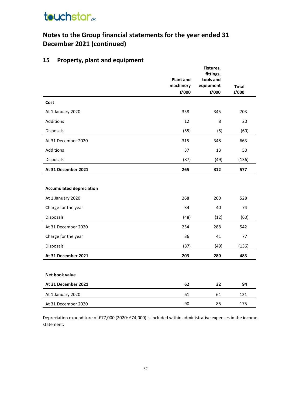## **Notes to the Group financial statements for the year ended 31 December 2021 (continued)**

### **15 Property, plant and equipment**

|                                 |                  | Fixtures,<br>fittings, |              |
|---------------------------------|------------------|------------------------|--------------|
|                                 | <b>Plant and</b> | tools and              |              |
|                                 | machinery        | equipment              | <b>Total</b> |
|                                 | £'000            | £'000                  | £'000        |
| Cost                            |                  |                        |              |
| At 1 January 2020               | 358              | 345                    | 703          |
| Additions                       | 12               | 8                      | 20           |
| Disposals                       | (55)             | (5)                    | (60)         |
| At 31 December 2020             | 315              | 348                    | 663          |
| Additions                       | 37               | 13                     | 50           |
| Disposals                       | (87)             | (49)                   | (136)        |
| At 31 December 2021             | 265              | 312                    | 577          |
|                                 |                  |                        |              |
| <b>Accumulated depreciation</b> |                  |                        |              |
| At 1 January 2020               | 268              | 260                    | 528          |
| Charge for the year             | 34               | 40                     | 74           |
| Disposals                       | (48)             | (12)                   | (60)         |
| At 31 December 2020             | 254              | 288                    | 542          |
| Charge for the year             | 36               | 41                     | 77           |
| Disposals                       | (87)             | (49)                   | (136)        |
| At 31 December 2021             | 203              | 280                    | 483          |
|                                 |                  |                        |              |
| Net book value                  |                  |                        |              |
| At 31 December 2021             | 62               | 32                     | 94           |
| At 1 January 2020               | 61               | 61                     | 121          |
| At 31 December 2020             | 90               | 85                     | 175          |

Depreciation expenditure of £77,000 (2020: £74,000) is included within administrative expenses in the income statement.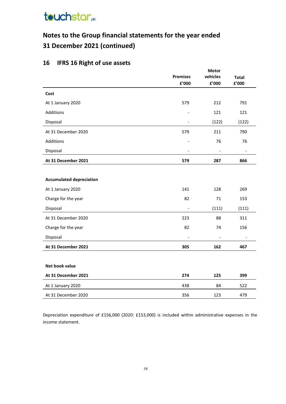## **Notes to the Group financial statements for the year ended 31 December 2021 (continued)**

## **16 IFRS 16 Right of use assets**

|                                 | <b>Motor</b>                 |                          |                          |  |
|---------------------------------|------------------------------|--------------------------|--------------------------|--|
|                                 | <b>Premises</b>              | <b>Total</b>             |                          |  |
|                                 | £'000                        | £'000                    | £'000                    |  |
| Cost                            |                              |                          |                          |  |
| At 1 January 2020               | 579                          | 212                      | 791                      |  |
| Additions                       |                              | 121                      | 121                      |  |
| Disposal                        |                              | (122)                    | (122)                    |  |
| At 31 December 2020             | 579                          | 211                      | 790                      |  |
| Additions                       | $\overline{\phantom{a}}$     | 76                       | 76                       |  |
| Disposal                        | $\overline{\phantom{a}}$     | $\overline{\phantom{0}}$ | $\overline{\phantom{a}}$ |  |
| At 31 December 2021             | 579                          | 287                      | 866                      |  |
|                                 |                              |                          |                          |  |
| <b>Accumulated depreciation</b> |                              |                          |                          |  |
| At 1 January 2020               | 141                          | 128                      | 269                      |  |
| Charge for the year             | 82                           | 71                       | 153                      |  |
| Disposal                        | $\blacksquare$               | (111)                    | (111)                    |  |
| At 31 December 2020             | 223                          | 88                       | 311                      |  |
| Charge for the year             | 82                           | 74                       | 156                      |  |
| Disposal                        | $\qquad \qquad \blacksquare$ | $\overline{\phantom{m}}$ | $\overline{\phantom{a}}$ |  |
| At 31 December 2021             | 305                          | 162                      | 467                      |  |
|                                 |                              |                          |                          |  |
| Net book value                  |                              |                          |                          |  |
| At 31 December 2021             | 274                          | 125                      | 399                      |  |
| At 1 January 2020               | 438                          | 84                       | 522                      |  |
| At 31 December 2020             | 356                          | 123                      | 479                      |  |

Depreciation expenditure of £156,000 (2020: £153,000) is included within administrative expenses in the income statement.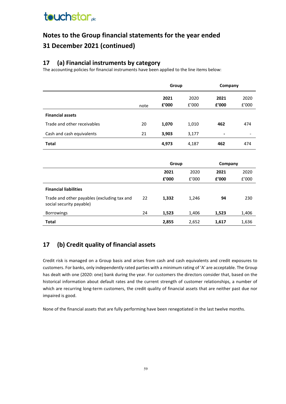## **Notes to the Group financial statements for the year ended 31 December 2021 (continued)**

### **17 (a) Financial instruments by category**

The accounting policies for financial instruments have been applied to the line items below:

|                             |      | Group         |               | Company        |               |
|-----------------------------|------|---------------|---------------|----------------|---------------|
|                             | note | 2021<br>£'000 | 2020<br>f'000 | 2021<br>£'000  | 2020<br>f'000 |
| <b>Financial assets</b>     |      |               |               |                |               |
| Trade and other receivables | 20   | 1,070         | 1,010         | 462            | 474           |
| Cash and cash equivalents   | 21   | 3,903         | 3,177         | $\blacksquare$ | -             |
| <b>Total</b>                |      | 4,973         | 4,187         | 462            | 474           |

|                                                                         |    | Group |       | Company |       |
|-------------------------------------------------------------------------|----|-------|-------|---------|-------|
|                                                                         |    | 2021  | 2020  | 2021    | 2020  |
|                                                                         |    | £'000 | f'000 | £'000   | f'000 |
| <b>Financial liabilities</b>                                            |    |       |       |         |       |
| Trade and other payables (excluding tax and<br>social security payable) | 22 | 1,332 | 1,246 | 94      | 230   |
| <b>Borrowings</b>                                                       | 24 | 1,523 | 1,406 | 1,523   | 1,406 |
| <b>Total</b>                                                            |    | 2,855 | 2,652 | 1,617   | 1,636 |

### **17 (b) Credit quality of financial assets**

Credit risk is managed on a Group basis and arises from cash and cash equivalents and credit exposures to customers. For banks, only independently rated parties with a minimum rating of 'A' are acceptable. The Group has dealt with one (2020: one) bank during the year. For customers the directors consider that, based on the historical information about default rates and the current strength of customer relationships, a number of which are recurring long-term customers, the credit quality of financial assets that are neither past due nor impaired is good.

None of the financial assets that are fully performing have been renegotiated in the last twelve months.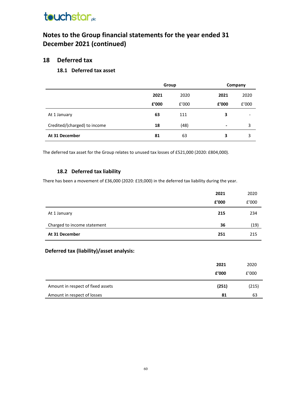### **Notes to the Group financial statements for the year ended 31 December 2021 (continued)**

#### **18 Deferred tax**

#### **18.1 Deferred tax asset**

|                              | Group |       | Company |                          |
|------------------------------|-------|-------|---------|--------------------------|
|                              | 2021  | 2020  | 2021    | 2020                     |
|                              | £'000 | f'000 | £'000   | f'000                    |
| At 1 January                 | 63    | 111   | 3       | $\overline{\phantom{a}}$ |
| Credited/(charged) to income | 18    | (48)  | $\,$    | 3                        |
| At 31 December               | 81    | 63    | 3       | 3                        |

The deferred tax asset for the Group relates to unused tax losses of £521,000 (2020: £804,000).

#### **18.2 Deferred tax liability**

There has been a movement of £36,000 (2020: £19,000) in the deferred tax liability during the year.

|                             | 2021  | 2020  |
|-----------------------------|-------|-------|
|                             | £'000 | f'000 |
| At 1 January                | 215   | 234   |
| Charged to income statement | 36    | (19)  |
| At 31 December              | 251   | 215   |

### **Deferred tax (liability)/asset analysis:**

|                                   | 2021  | 2020  |
|-----------------------------------|-------|-------|
|                                   | £'000 | f'000 |
| Amount in respect of fixed assets | (251) | (215) |
| Amount in respect of losses       | 81    | 63    |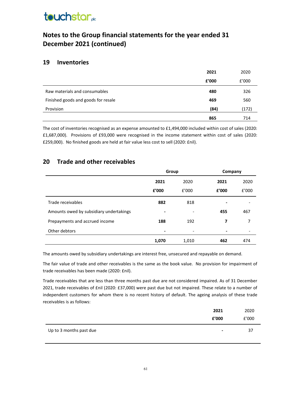## **Notes to the Group financial statements for the year ended 31 December 2021 (continued)**

### **19 Inventories**

|                                     | 2021  | 2020  |
|-------------------------------------|-------|-------|
|                                     | £'000 | f'000 |
| Raw materials and consumables       | 480   | 326   |
| Finished goods and goods for resale | 469   | 560   |
| Provision                           | (84)  | (172) |
|                                     | 865   | 714   |

The cost of inventories recognised as an expense amounted to £1,494,000 included within cost of sales (2020: £1,687,000). Provisions of £93,000 were recognised in the income statement within cost of sales (2020: £259,000). No finished goods are held at fair value less cost to sell (2020: £nil).

### **20 Trade and other receivables**

|                                         | Group |       | Company |       |
|-----------------------------------------|-------|-------|---------|-------|
|                                         | 2021  | 2020  | 2021    | 2020  |
|                                         | £'000 | f'000 | £'000   | f'000 |
| Trade receivables                       | 882   | 818   |         |       |
| Amounts owed by subsidiary undertakings | -     |       | 455     | 467   |
| Prepayments and accrued income          | 188   | 192   | 7       | 7     |
| Other debtors                           | -     | ٠     |         |       |
|                                         | 1,070 | 1,010 | 462     | 474   |

The amounts owed by subsidiary undertakings are interest free, unsecured and repayable on demand.

The fair value of trade and other receivables is the same as the book value. No provision for impairment of trade receivables has been made (2020: £nil).

Trade receivables that are less than three months past due are not considered impaired. As of 31 December 2021, trade receivables of £nil (2020: £37,000) were past due but not impaired. These relate to a number of independent customers for whom there is no recent history of default. The ageing analysis of these trade receivables is as follows:

|                         | 2021           | 2020  |
|-------------------------|----------------|-------|
|                         | £'000          | f'000 |
| Up to 3 months past due | $\blacksquare$ | -37   |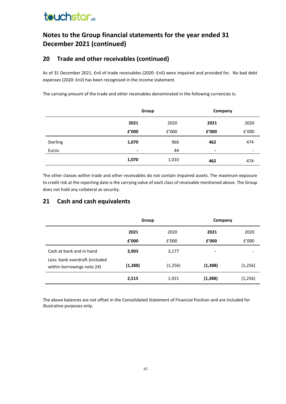### **Notes to the Group financial statements for the year ended 31 December 2021 (continued)**

### **20 Trade and other receivables (continued)**

As of 31 December 2021, £nil of trade receivables (2020: £nil) were impaired and provided for. No bad debt expenses (2020: £nil) has been recognised in the income statement.

The carrying amount of the trade and other receivables denominated in the following currencies is:

|          |       | Group |       | Company |
|----------|-------|-------|-------|---------|
|          | 2021  | 2020  | 2021  | 2020    |
|          | £'000 | £'000 | £'000 | f'000   |
| Sterling | 1,070 | 966   | 462   | 474     |
| Euros    | ۰     | 44    | -     | -       |
|          | 1,070 | 1,010 | 462   | 474     |

The other classes within trade and other receivables do not contain impaired assets. The maximum exposure to credit risk at the reporting date is the carrying value of each class of receivable mentioned above. The Group does not hold any collateral as security.

### **21 Cash and cash equivalents**

|                                                              | Group    |         | Company        |         |
|--------------------------------------------------------------|----------|---------|----------------|---------|
|                                                              | 2021     | 2020    | 2021           | 2020    |
|                                                              | £'000    | f'000   | £'000          | £'000   |
| Cash at bank and in hand                                     | 3,903    | 3,177   | $\blacksquare$ |         |
| Less: bank overdraft (included<br>within borrowings note 24) | (1, 388) | (1,256) | (1, 388)       | (1,256) |
|                                                              | 2,515    | 1,921   | (1, 388)       | (1,256) |

The above balances are not offset in the Consolidated Statement of Financial Position and are included for illustrative purposes only.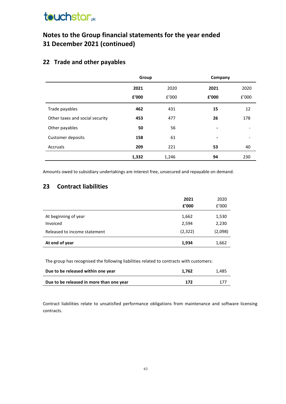## **Notes to the Group financial statements for the year ended 31 December 2021 (continued)**

### **22 Trade and other payables**

|                                 | Group |       | Company |       |
|---------------------------------|-------|-------|---------|-------|
|                                 | 2021  | 2020  | 2021    | 2020  |
|                                 | £'000 | f'000 | £'000   | £'000 |
| Trade payables                  | 462   | 431   | 15      | 12    |
| Other taxes and social security | 453   | 477   | 26      | 178   |
| Other payables                  | 50    | 56    | $\,$    |       |
| Customer deposits               | 158   | 61    | $\,$    |       |
| Accruals                        | 209   | 221   | 53      | 40    |
|                                 | 1,332 | 1,246 | 94      | 230   |

Amounts owed to subsidiary undertakings are interest free, unsecured and repayable on demand.

### **23 Contract liabilities**

|                              | 2021    | 2020    |
|------------------------------|---------|---------|
|                              | £'000   | f'000   |
| At beginning of year         | 1,662   | 1,530   |
| Invoiced                     | 2,594   | 2,230   |
| Released to income statement | (2,322) | (2,098) |
| At end of year               | 1,934   | 1,662   |

The group has recognised the following liabilities related to contracts with customers:

| Due to be released within one year       | 1.762 | 1.485 |
|------------------------------------------|-------|-------|
| Due to be released in more than one year | 172   | 177   |

Contract liabilities relate to unsatisfied performance obligations from maintenance and software licensing contracts.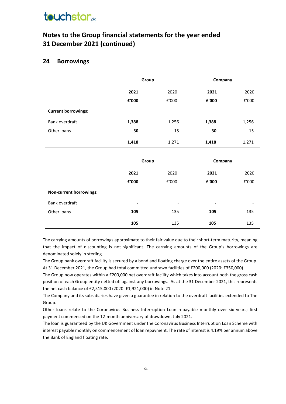## **touchstar**<sub>de</sub>

### **Notes to the Group financial statements for the year ended 31 December 2021 (continued)**

#### **24 Borrowings**

|                            | Group |       | Company |       |
|----------------------------|-------|-------|---------|-------|
|                            | 2021  | 2020  | 2021    | 2020  |
|                            | £'000 | f'000 | £'000   | £'000 |
| <b>Current borrowings:</b> |       |       |         |       |
| Bank overdraft             | 1,388 | 1,256 | 1,388   | 1,256 |
| Other loans                | 30    | 15    | 30      | 15    |
|                            | 1,418 | 1,271 | 1,418   | 1,271 |

|                         | Group          |                          | Company                  |       |
|-------------------------|----------------|--------------------------|--------------------------|-------|
|                         | 2021           | 2020                     | 2021                     | 2020  |
|                         | £'000          | £'000                    | £'000                    | E'000 |
| Non-current borrowings: |                |                          |                          |       |
| Bank overdraft          | $\blacksquare$ | $\overline{\phantom{0}}$ | $\overline{\phantom{0}}$ |       |
| Other loans             | 105            | 135                      | 105                      | 135   |
|                         | 105            | 135                      | 105                      | 135   |

The carrying amounts of borrowings approximate to their fair value due to their short-term maturity, meaning that the impact of discounting is not significant. The carrying amounts of the Group's borrowings are denominated solely in sterling.

The Group bank overdraft facility is secured by a bond and floating charge over the entire assets of the Group. At 31 December 2021, the Group had total committed undrawn facilities of £200,000 (2020: £350,000).

The Group now operates within a £200,000 net overdraft facility which takes into account both the gross cash position of each Group entity netted off against any borrowings. As at the 31 December 2021, this represents the net cash balance of £2,515,000 (2020: £1,921,000) in Note 21.

The Company and its subsidiaries have given a guarantee in relation to the overdraft facilities extended to The Group.

Other loans relate to the Coronavirus Business Interruption Loan repayable monthly over six years; first payment commenced on the 12-month anniversary of drawdown, July 2021.

The loan is guaranteed by the UK Government under the Coronavirus Business Interruption Loan Scheme with interest payable monthly on commencement of loan repayment. The rate of interest is 4.19% per annum above the Bank of England floating rate.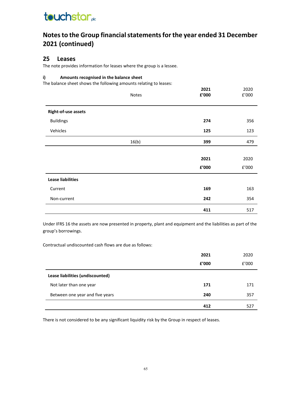### **Notes to the Group financial statements for the year ended 31 December 2021 (continued)**

#### **25 Leases**

The note provides information for leases where the group is a lessee.

#### **i) Amounts recognised in the balance sheet**

The balance sheet shows the following amounts relating to leases:

|                            | Notes | 2021<br>${\bf f}^{\prime}$ 000 | 2020<br>${\tt f}^{\prime}000$ |
|----------------------------|-------|--------------------------------|-------------------------------|
| <b>Right-of-use assets</b> |       |                                |                               |
| <b>Buildings</b>           |       | 274                            | 356                           |
| Vehicles                   |       | 125                            | 123                           |
|                            | 16(b) | 399                            | 479                           |
|                            |       |                                |                               |
|                            |       | 2021                           | 2020                          |
|                            |       | £'000                          | f'000                         |
| <b>Lease liabilities</b>   |       |                                |                               |
| Current                    |       | 169                            | 163                           |
| Non-current                |       | 242                            | 354                           |
|                            |       | 411                            | 517                           |

Under IFRS 16 the assets are now presented in property, plant and equipment and the liabilities as part of the group's borrowings.

Contractual undiscounted cash flows are due as follows:

|                                  | 2021  | 2020  |
|----------------------------------|-------|-------|
|                                  | £'000 | f'000 |
| Lease liabilities (undiscounted) |       |       |
| Not later than one year          | 171   | 171   |
| Between one year and five years  | 240   | 357   |
|                                  | 412   | 527   |

There is not considered to be any significant liquidity risk by the Group in respect of leases.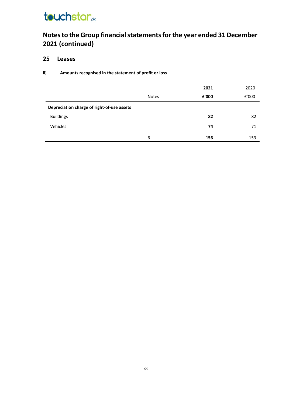## **Notes to the Group financial statements for the year ended 31 December 2021 (continued)**

### **25 Leases**

#### **ii) Amounts recognised in the statement of profit or loss**

|                                            |              | 2021  | 2020  |
|--------------------------------------------|--------------|-------|-------|
|                                            | <b>Notes</b> | £'000 | f'000 |
| Depreciation charge of right-of-use assets |              |       |       |
| <b>Buildings</b>                           |              | 82    | 82    |
| Vehicles                                   |              | 74    | 71    |
|                                            | 6            | 156   | 153   |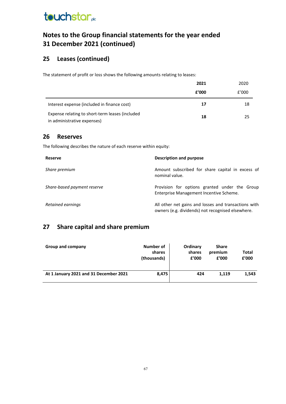### **Notes to the Group financial statements for the year ended 31 December 2021 (continued)**

### **25 Leases (continued)**

The statement of profit or loss shows the following amounts relating to leases:

|                                                                                | 2021  | 2020  |
|--------------------------------------------------------------------------------|-------|-------|
|                                                                                | £'000 | f'000 |
| Interest expense (included in finance cost)                                    | 17    | 18    |
| Expense relating to short-term leases (included<br>in administrative expenses) | 18    | 25    |

#### **26 Reserves**

The following describes the nature of each reserve within equity:

| <b>Reserve</b>              | Description and purpose                                                                                   |
|-----------------------------|-----------------------------------------------------------------------------------------------------------|
| Share premium               | Amount subscribed for share capital in excess of<br>nominal value.                                        |
| Share-based payment reserve | Provision for options granted under the Group<br>Enterprise Management Incentive Scheme.                  |
| Retained earnings           | All other net gains and losses and transactions with<br>owners (e.g. dividends) not recognised elsewhere. |

### **27 Share capital and share premium**

| Group and company                      | Number of<br>shares<br>(thousands) | Ordinary<br>shares<br>£'000 | <b>Share</b><br>premium<br>£'000 | Total<br>£'000 |
|----------------------------------------|------------------------------------|-----------------------------|----------------------------------|----------------|
| At 1 January 2021 and 31 December 2021 | 8,475                              | 424                         | 1.119                            | 1,543          |